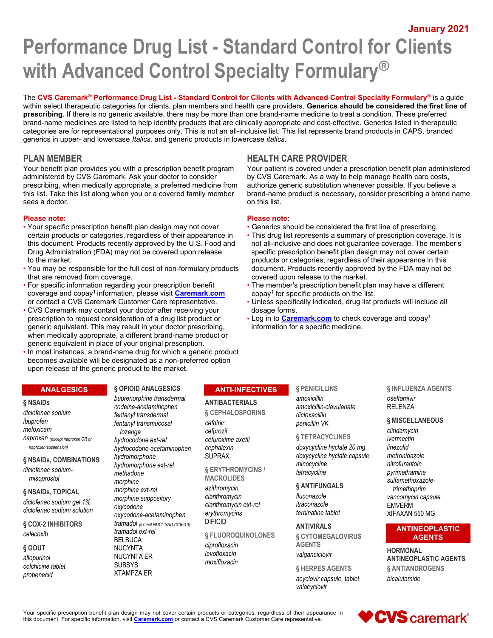January 2021

# Performance Drug List - Standard Control for Clients with Advanced Control Specialty Formulary®

The CVS Caremark<sup>®</sup> Performance Drug List - Standard Control for Clients with Advanced Control Specialty Formulary<sup>®</sup> is a guide within select therapeutic categories for clients, plan members and health care providers. Generics should be considered the first line of prescribing. If there is no generic available, there may be more than one brand-name medicine to treat a condition. These preferred brand-name medicines are listed to help identify products that are clinically appropriate and cost-effective. Generics listed in therapeutic categories are for representational purposes only. This is not an all-inclusive list. This list represents brand products in CAPS, branded generics in upper- and lowercase Italics, and generic products in lowercase italics.

# PLAN MEMBER THE REALTH CARE PROVIDER

Your benefit plan provides you with a prescription benefit program administered by CVS Caremark. Ask your doctor to consider prescribing, when medically appropriate, a preferred medicine from this list. Take this list along when you or a covered family member sees a doctor.

# Please note: Please note:

- Your specific prescription benefit plan design may not cover Generics should be considered the first line of prescribing. to the market. products or categories, regardless of their appearance in this
- You may be responsible for the full cost of non-formulary products document. Products recently approved by the FDA may not be that are removed from coverage. covered upon release to the market.
- coverage and copay<sup>1</sup> information, please visit **Caremark.com**
- CVS Caremark may contact your doctor after receiving your dosage forms.<br>
prescription to request consideration of a drug list product or **extincial on the Caremark.com** to check coverage and copay<sup>1</sup> prescription to request consideration of a drug list product or generic equivalent. This may result in your doctor prescribing, information for a specific medicine. when medically appropriate, a different brand-name product or generic equivalent in place of your original prescription.
- In most instances, a brand-name drug for which a generic product becomes available will be designated as a non-preferred option upon release of the generic product to the market.

# **ANALGESICS**

#### § NSAIDs

diclofenac sodium ibuprofen meloxicam naproxen (except naproxen CR or naproxen suspension)

#### § NSAIDs, COMBINATIONS

diclofenac sodiummisoprostol

# § NSAIDs, TOPICAL diclofenac sodium gel 1% diclofenac sodium solution

§ COX-2 INHIBITORS celecoxib

#### § GOUT

allopurinol colchicine tablet probenecid

# § OPIOID ANALGESICS buprenorphine transdermal

codeine-acetaminophen fentanyl transdermal fentanyl transmucosal lozenge hydrocodone ext-rel hydrocodone-acetaminophen hydromorphone hydromorphone ext-rel methadone morphine morphine ext-rel morphine suppository oxycodone oxycodone-acetaminophen tramadol (except NDC^ 52817019610) tramadol ext-rel **BELBUCA** NUCYNTA NUCYNTA ER **SUBSYS** 

XTAMPZA ER

# ANTI-INFECTIVES

# ANTIBACTERIALS

§ CEPHALOSPORINS cefdinir cefprozil cefuroxime axetil cephalexin SUPRAX

§ ERYTHROMYCINS / MACROLIDES

azithromycin clarithromycin clarithromycin ext-rel erythromycins DIFICID

§ FLUOROQUINOLONES

ciprofloxacin levofloxacin moxifloxacin Your patient is covered under a prescription benefit plan administered

by CVS Caremark. As a way to help manage health care costs, authorize generic substitution whenever possible. If you believe a brand-name product is necessary, consider prescribing a brand name on this list.

- 
- certain products or categories, regardless of their appearance in **·** This drug list represents a summary of prescription coverage. It is<br>this document. Products recently approved by the U.S. Food and not all-inclusive and this document. Products recently approved by the U.S. Food and not all-inclusive and does not guarantee coverage. The member's Drug Administration (FDA) may not be covered upon release specific prescription benefit plan de specific prescription benefit plan design may not cover certain
- For specific information regarding your prescription benefit The member's prescription benefit plan may have a different copay<sup>1</sup> for specific products on the list.
- or contact a CVS Caremark Customer Care representative. Unless specifically indicated, drug list products will include all
	-

# § PENICILLINS

amoxicillin amoxicillin-clavulanate dicloxacillin penicillin VK

§ TETRACYCLINES doxycycline hyclate 20 mg doxycycline hyclate capsule minocycline tetracycline

§ ANTIFUNGALS fluconazole itraconazole terbinafine tablet

ANTIVIRALS § CYTOMEGALOVIRUS AGENTS valganciclovir

§ HERPES AGENTS acyclovir capsule, tablet valacyclovir

# § INFLUENZA AGENTS oseltamivir RELENZA

# § MISCELLANEOUS

clindamycin ivermectin linezolid metronidazole nitrofurantoin pyrimethamine sulfamethoxazoletrimethoprim vancomycin capsule EMVERM XIFAXAN 550 MG

# ANTINEOPLASTIC AGENTS

**HORMONAL** ANTINEOPLASTIC AGENTS § ANTIANDROGENS bicalutamide

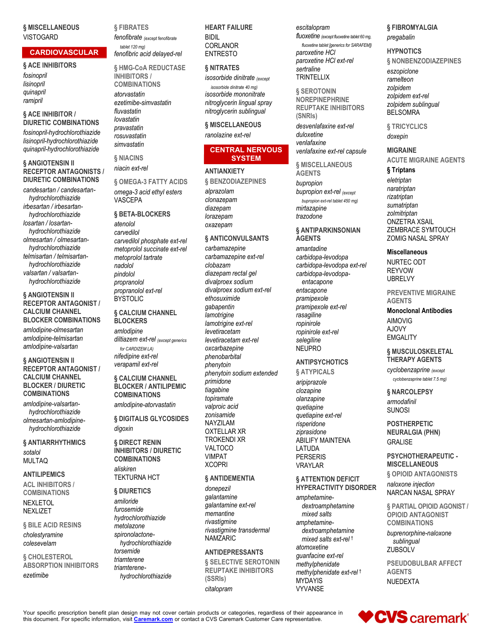# § MISCELLANEOUS **VISTOGARD**

# CARDIOVASCULAR

§ ACE INHIBITORS fosinopril lisinopril quinapril ramipril

#### § ACE INHIBITOR / DIURETIC COMBINATIONS

fosinopril-hydrochlorothiazide lisinopril-hydrochlorothiazide quinapril-hydrochlorothiazide

# § ANGIOTENSIN II RECEPTOR ANTAGONISTS / DIURETIC COMBINATIONS

candesartan / candesartanhydrochlorothiazide irbesartan / irbesartanhydrochlorothiazide losartan / losartanhydrochlorothiazide olmesartan / olmesartanhydrochlorothiazide telmisartan / telmisartanhydrochlorothiazide valsartan / valsartanhydrochlorothiazide

# § ANGIOTENSIN II RECEPTOR ANTAGONIST / CALCIUM CHANNEL

BLOCKER COMBINATIONS amlodipine-olmesartan amlodipine-telmisartan amlodipine-valsartan

# § ANGIOTENSIN II RECEPTOR ANTAGONIST / CALCIUM CHANNEL BLOCKER / DIURETIC COMBINATIONS

amlodipine-valsartanhydrochlorothiazide olmesartan-amlodipinehydrochlorothiazide

§ ANTIARRHYTHMICS sotalol MULTAQ

# ANTILIPEMICS

ACL INHIBITORS / COMBINATIONS NEXLETOL NEXLIZET

#### § BILE ACID RESINS

cholestyramine colesevelam

§ CHOLESTEROL ABSORPTION INHIBITORS

# ezetimibe

§ FIBRATES

fenofibrate (except fenofibrate tablet 120 mg)

fenofibric acid delayed-rel § HMG-CoA REDUCTASE INHIBITORS / COMBINATIONS atorvastatin ezetimibe-simvastatin fluvastatin lovastatin pravastatin rosuvastatin simvastatin

§ NIACINS niacin ext-rel

§ OMEGA-3 FATTY ACIDS omega-3 acid ethyl esters VASCEPA

# § BETA-BLOCKERS

atenolol carvedilol carvedilol phosphate ext-rel metoprolol succinate ext-rel metoprolol tartrate nadolol pindolol propranolol propranolol ext-rel BYSTOLIC

# § CALCIUM CHANNEL **BLOCKERS**

amlodipine diltiazem ext-rel (except generics for CARDIZEM LA) nifedipine ext-rel verapamil ext-rel

#### § CALCIUM CHANNEL BLOCKER / ANTILIPEMIC COMBINATIONS amlodipine-atorvastatin

§ DIGITALIS GLYCOSIDES digoxin

§ DIRECT RENIN INHIBITORS / DIURETIC COMBINATIONS

aliskiren TEKTURNA HCT

#### § DIURETICS

amiloride furosemide hydrochlorothiazide metolazone spironolactonehydrochlorothiazide torsemide triamterene triamterenehydrochlorothiazide

# HEART FAILURE

BIDIL CORLANOR ENTRESTO

# § NITRATES

isosorbide dinitrate (except isosorbide dinitrate 40 mg) isosorbide mononitrate nitroglycerin lingual spray nitroglycerin sublingual

# § MISCELLANEOUS

ranolazine ext-rel

# CENTRAL NERVOUS **SYSTEM**

#### **ANTIANXIETY**

§ BENZODIAZEPINES alprazolam clonazepam diazepam lorazepam oxazepam

# § ANTICONVULSANTS

carbamazepine carbamazepine ext-rel clobazam diazepam rectal gel divalproex sodium divalproex sodium ext-rel ethosuximide gabapentin **lamotrigine** lamotrigine ext-rel levetiracetam levetiracetam ext-rel oxcarbazepine phenobarbital phenytoin phenytoin sodium extended primidone tiagabine topiramate valproic acid zonisamide NAYZILAM OXTELLAR XR TROKENDI XR VALTOCO VIMPAT **XCOPRI** 

# § ANTIDEMENTIA

donepezil galantamine galantamine ext-rel memantine rivastigmine rivastigmine transdermal NAMZARIC

# ANTIDEPRESSANTS

**§ SELECTIVE SEROTONIN** REUPTAKE INHIBITORS (SSRIs) citalopram

escitalopram fluoxetine (except fluoxetine tablet 60 mg, fluoxetine tablet [generics for SARAFEM]) paroxetine HCl paroxetine HCl ext-rel sertraline **TRINTELLIX** 

§ SEROTONIN NOREPINEPHRINE REUPTAKE INHIBITORS (SNRIs) desvenlafaxine ext-rel

duloxetine venlafaxine venlafaxine ext-rel capsule

§ MISCELLANEOUS **AGENTS** bupropion bupropion ext-rel (except bupropion ext-rel tablet 450 mg) mirtazapine trazodone

# § ANTIPARKINSONIAN **AGENTS**

amantadine carbidopa-levodopa carbidopa-levodopa ext-rel carbidopa-levodopaentacapone entacapone pramipexole pramipexole ext-rel rasagiline ropinirole ropinirole ext-rel selegiline NEUPRO

# ANTIPSYCHOTICS

§ ATYPICALS

aripiprazole clozapine olanzapine quetiapine quetiapine ext-rel risperidone ziprasidone ABILIFY MAINTENA LATUDA PERSERIS VRAYLAR

# § ATTENTION DEFICIT HYPERACTIVITY DISORDER

amphetaminedextroamphetamine mixed salts amphetaminedextroamphetamine mixed salts ext-rel † atomoxetine guanfacine ext-rel methylphenidate methylphenidate ext-rel † MYDAYIS VYVANSE

# § FIBROMYALGIA pregabalin

# **HYPNOTICS**

§ NONBENZODIAZEPINES

eszopiclone ramelteon zolpidem zolpidem ext-rel zolpidem sublingual BELSOMRA

§ TRICYCLICS doxepin

# MIGRAINE

ACUTE MIGRAINE AGENTS

# § Triptans

eletriptan naratriptan rizatriptan sumatriptan zolmitriptan ONZETRA XSAIL ZEMBRACE SYMTOUCH ZOMIG NASAL SPRAY

# Miscellaneous

NURTEC ODT REYVOW UBRELVY

PREVENTIVE MIGRAINE AGENTS

# Monoclonal Antibodies AIMOVIG

AJOVY **EMGALITY** 

# § MUSCULOSKELETAL THERAPY AGENTS

cyclobenzaprine (except cyclobenzaprine tablet 7.5 mg)

# § NARCOLEPSY armodafinil SUNOSI

POSTHERPETIC NEURALGIA (PHN) GRALISE

# PSYCHOTHERAPEUTIC - **MISCELLANEOUS**

§ OPIOID ANTAGONISTS

naloxone injection NARCAN NASAL SPRAY

§ PARTIAL OPIOID AGONIST / OPIOID ANTAGONIST **COMBINATIONS** 

buprenorphine-naloxone sublingual **ZUBSOLV** 

PSEUDOBULBAR AFFECT AGENTS NUEDEXTA

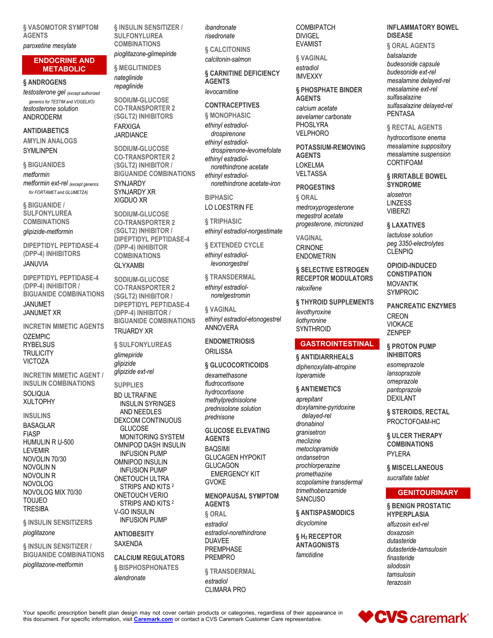§ VASOMOTOR SYMPTOM AGENTS

# paroxetine mesylate

# ENDOCRINE AND **METABOLIC**

### § ANDROGENS

testosterone gel (except authorized

generics for TESTIM and VOGELXO) testosterone solution ANDRODERM

# **ANTIDIABETICS**

AMYLIN ANALOGS **SYMLINPEN** 

§ BIGUANIDES metformin metformin ext-rel (except generics for FORTAMET and GLUMETZA)

§ BIGUANIDE / SULFONYLUREA COMBINATIONS

glipizide-metformin

DIPEPTIDYL PEPTIDASE-4 (DPP-4) INHIBITORS

# JANUVIA

DIPEPTIDYL PEPTIDASE-4 (DPP-4) INHIBITOR / BIGUANIDE COMBINATIONS

#### JANUMET JANUMET XR

INCRETIN MIMETIC AGENTS

OZEMPIC **RYBELSUS TRULICITY** VICTOZA

INCRETIN MIMETIC AGENT / INSULIN COMBINATIONS **SOLIQUA** 

XULTOPHY

#### INSULINS

BASAGLAR FIASP HUMULIN R U-500 LEVEMIR NOVOLIN 70/30 NOVOLIN N NOVOLIN R NOVOLOG NOVOLOG MIX 70/30 TOUJEO **TRESIBA** 

# § INSULIN SENSITIZERS

#### pioglitazone

§ INSULIN SENSITIZER / BIGUANIDE COMBINATIONS

pioglitazone-metformin

§ INSULIN SENSITIZER / **SULFONYLUREA** COMBINATIONS

pioglitazone-glimepiride

§ MEGLITINIDES nateglinide repaglinide

JARDIANCE

SODIUM-GLUCOSE CO-TRANSPORTER 2 (SGLT2) INHIBITORS FARXIGA

SODIUM-GLUCOSE CO-TRANSPORTER 2 (SGLT2) INHIBITOR / BIGUANIDE COMBINATIONS SYNJARDY SYNJARDY XR XIGDUO XR

SODIUM-GLUCOSE CO-TRANSPORTER 2 (SGLT2) INHIBITOR / DIPEPTIDYL PEPTIDASE-4 (DPP-4) INHIBITOR **COMBINATIONS** 

# GLYXAMBI

SODIUM-GLUCOSE CO-TRANSPORTER 2 (SGLT2) INHIBITOR / DIPEPTIDYL PEPTIDASE-4 (DPP-4) INHIBITOR / BIGUANIDE COMBINATIONS TRIJARDY XR

§ SULFONYLUREAS glimepiride glipizide glipizide ext-rel

**SUPPLIES** 

BD ULTRAFINE INSULIN SYRINGES AND NEEDLES DEXCOM CONTINUOUS GLUCOSE MONITORING SYSTEM OMNIPOD DASH INSULIN INFUSION PUMP OMNIPOD INSULIN INFUSION PUMP ONETOUCH ULTRA STRIPS AND KITS<sup>2</sup> ONETOUCH VERIO STRIPS AND KITS <sup>2</sup> V-GO INSULIN INFUSION PUMP

# **ANTIOBESITY** SAXENDA

CALCIUM REGULATORS § BISPHOSPHONATES alendronate

ibandronate risedronate

§ CALCITONINS calcitonin-salmon

§ CARNITINE DEFICIENCY **AGENTS** 

levocarnitine

# CONTRACEPTIVES § MONOPHASIC

ethinyl estradioldrospirenone ethinyl estradioldrospirenone-levomefolate ethinyl estradiolnorethindrone acetate ethinyl estradiolnorethindrone acetate-iron

**BIPHASIC** LO LOESTRIN FE

§ TRIPHASIC ethinyl estradiol-norgestimate

§ EXTENDED CYCLE ethinyl estradiollevonorgestrel

§ TRANSDERMAL ethinyl estradiolnorelgestromin

§ VAGINAL ethinyl estradiol-etonogestrel ANNOVERA

**ENDOMETRIOSIS ORILISSA** 

§ GLUCOCORTICOIDS dexamethasone fludrocortisone hydrocortisone methylprednisolone prednisolone solution prednisone

GLUCOSE ELEVATING AGENTS BAQSIMI GLUCAGEN HYPOKIT GLUCAGON EMERGENCY KIT GVOKE

MENOPAUSAL SYMPTOM AGENTS § ORAL

estradiol estradiol-norethindrone DUAVEE PREMPHASE PREMPRO

§ TRANSDERMAL estradiol CLIMARA PRO

**COMBIPATCH** DIVIGEL EVAMIST

§ VAGINAL estradiol IMVEXXY

### § PHOSPHATE BINDER **AGENTS**

calcium acetate sevelamer carbonate PHOSLYRA VELPHORO

POTASSIUM-REMOVING AGENTS LOKELMA VELTASSA

**PROGESTINS** 

§ ORAL medroxyprogesterone megestrol acetate progesterone, micronized

VAGINAL CRINONE ENDOMETRIN

liothyronine **SYNTHROID** 

§ SELECTIVE ESTROGEN RECEPTOR MODULATORS raloxifene

§ THYROID SUPPLEMENTS

levothyroxine

# GASTROINTESTINAL

§ ANTIDIARRHEALS diphenoxylate-atropine loperamide

# § ANTIEMETICS

aprepitant doxylamine-pyridoxine delayed-rel dronabinol granisetron meclizine metoclopramide ondansetron prochlorperazine promethazine scopolamine transdermal trimethobenzamide **SANCUSO** 

§ ANTISPASMODICS dicyclomine

§ H2 RECEPTOR **ANTAGONISTS** famotidine

#### INFLAMMATORY BOWEL DISEASE

§ ORAL AGENTS balsalazide budesonide capsule budesonide ext-rel mesalamine delayed-rel mesalamine ext-rel sulfasalazine sulfasalazine delayed-rel PENTASA

#### § RECTAL AGENTS

hydrocortisone enema mesalamine suppository mesalamine suspension CORTIFOAM

§ IRRITABLE BOWEL SYNDROME

alosetron LINZESS VIBERZI

§ LAXATIVES lactulose solution peg 3350-electrolytes CLENPIQ

OPIOID-INDUCED **CONSTIPATION** MOVANTIK SYMPROIC

PANCREATIC ENZYMES **CREON** VIOKACE ZENPEP

§ PROTON PUMP INHIBITORS esomeprazole lansoprazole omeprazole pantoprazole DEXILANT

§ STEROIDS, RECTAL PROCTOFOAM-HC

§ ULCER THERAPY COMBINATIONS PYI FRA

§ MISCELLANEOUS sucralfate tablet

# **GENITOURINARY**

§ BENIGN PROSTATIC HYPERPLASIA alfuzosin ext-rel doxazosin dutasteride dutasteride-tamsulosin finasteride silodosin tamsulosin terazosin

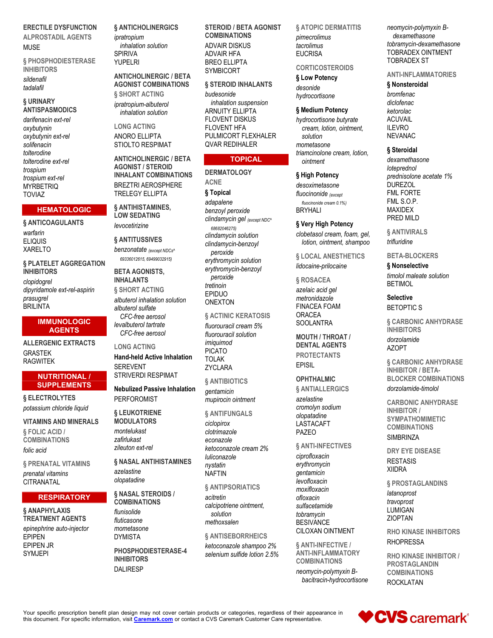**ERECTILE DYSFUNCTION ALPROSTADIL AGENTS** MLISE

**§ PHOSPHODIESTERASE INHIBITORS** sildenafil tadalafil

# **§ URINARY ANTISPASMODICS**

darifenacin ext-rel oxybutynin oxybutynin ext-rel solifenacin tolterodine tolterodine ext-rel trospium trospium ext-rel **MYRBETRIQ TOVIAZ** 

# **HEMATOLOGIC**

§ ANTICOAGULANTS warfarin

**ELIQUIS XARELTO** 

**& PLATELET AGGREGATION INHIBITORS** clopidoarel dipyridamole ext-rel-aspirin prasuarel **BRILINTA** 

# **IMMUNOLOGIC AGENTS**

**ALLERGENIC EXTRACTS GRASTEK RAGWITEK** 

# **NUTRITIONAL / SUPPLEMENTS**

§ ELECTROLYTES potassium chloride liquid

**VITAMINS AND MINERALS** § FOLIC ACID / **COMBINATIONS** folic acid

**& PRENATAL VITAMINS** prenatal vitamins CITRANATAL

# **RESPIRATORY**

§ ANAPHYLAXIS **TREATMENT AGENTS** epinephrine auto-injector **EPIPEN EPIPEN JR SYMJEPI** 

§ ANTICHOLINERGICS ipratropium

inhalation solution **SPIRIVA** YUPELRI

**ANTICHOLINERGIC / BETA AGONIST COMBINATIONS & SHORT ACTING** ipratropium-albuterol

inhalation solution

**I ONG ACTING ANORO ELLIPTA STIOLTO RESPIMAT** 

**ANTICHOLINERGIC / BETA AGONIST / STEROID INHALANT COMBINATIONS BREZTRI AEROSPHERE TRELEGY ELLIPTA** 

§ ANTIHISTAMINES, **LOW SEDATING** levocetirizine

§ ANTITUSSIVES

benzonatate (except NDCs<sup>^</sup> 69336012615, 69499032915)

**BETA AGONISTS. INHALANTS § SHORT ACTING** albuterol inhalation solution

albuterol sulfate CFC-free aerosol levalbuterol tartrate CFC-free aerosol

**LONG ACTING Hand-held Active Inhalation** 

**SEREVENT STRIVERDI RESPIMAT** 

**Nebulized Passive Inhalation** PERFOROMIST

§ LEUKOTRIENE **MODULATORS** montelukast

zafirlukast zileuton ext-rel

§ NASAL ANTIHISTAMINES azelastine olopatadine

§ NASAL STEROIDS / **COMBINATIONS** 

flunisolide fluticasone mometasone **DYMISTA** 

PHOSPHODIESTERASE-4 **INHIBITORS DALIRESP** 

**STEROID / BETA AGONIST COMBINATIONS ADVAIR DISKUS ADVAIR HFA BREO ELLIPTA SYMBICORT** 

§ STEROID INHALANTS budesonide inhalation suspension **ARNUITY ELLIPTA FLOVENT DISKUS FLOVENT HFA** PULMICORT FLEXHALER **QVAR REDIHALER** 

# **TOPICAL**

**DERMATOLOGY ACNE** § Topical adapalene benzoyl peroxide clindamycin gel (except NDC<sup>N</sup> 68682046275) clindamycin solution clindamycin-benzoyl peroxide erythromycin solution erythromycin-benzoyl peroxide tretinoin **EPIDUO ONEXTON** 

# § ACTINIC KERATOSIS

fluorouracil cream 5% fluorouracil solution imiguimod **PICATO TOLAK** ZYCLARA

§ ANTIBIOTICS *gentamicin* mupirocin ointment

**§ ANTIFUNGALS** 

ciclopirox clotrimazole econazole ketoconazole cream 2% luliconazole nystatin **NAFTIN** 

§ ANTIPSORIATICS acitretin calcipotriene ointment, solution methoxsalen

§ ANTISEBORRHEICS

ketoconazole shampoo 2% selenium sulfide lotion 2.5% **§ ATOPIC DERMATITIS** pimecrolimus

tacrolimus **EUCRISA** 

**CORTICOSTEROIDS** 

§ Low Potency

desonide hydrocortisone

§ Medium Potency

hydrocortisone butyrate cream. lotion. ointment. solution mometasone triamcinolone cream, lotion, ointment

§ High Potency

desoximetasone fluocinonide (except fluocinonide cream 0.1% **BRYHALI** 

§ Very High Potency

clobetasol cream, foam, gel, lotion, ointment, shampoo

§ LOCAL ANESTHETICS

lidocaine-prilocaine

§ ROSACEA azelaic acid gel metronidazole **FINACEA FOAM ORACEA SOOLANTRA** 

**MOUTH / THROAT / DENTAL AGENTS PROTECTANTS FPISII** 

# **OPHTHALMIC**

§ ANTIALLERGICS

azelastine cromolyn sodium olopatadine **I ASTACAFT** PAZEO

§ ANTI-INFECTIVES

ciprofloxacin erythromycin gentamicin levofloxacin moxifloxacin ofloxacin sulfacetamide tobramycin **BESIVANCE** CILOXAN OINTMENT

§ ANTI-INFECTIVE / **ANTI-INFLAMMATORY COMBINATIONS** 

neomycin-polymyxin Bbacitracin-hydrocortisone neomycin-polymyxin Bdexamethasone tobramycin-dexamethasone TOBRADEX OINTMENT **TOBRADEX ST** 

**ANTI-INFLAMMATORIES** 

§ Nonsteroidal

bromfenac diclofenac ketorolac **ACUVAIL ILEVRO NEVANAC** 

# § Steroidal

dexamethasone loteprednol prednisolone acetate 1% **DUREZOL FML FORTE** FML S.O.P. **MAXIDEX** PRED MILD

**& ANTIVIRALS** trifluridine

**BETA-BLOCKERS** 

§ Nonselective timolol maleate solution **BETIMOL** 

**Selective BETOPTICS** 

**& CARBONIC ANHYDRASE INHIBITORS** 

dorzolamide A7OPT

**§ CARBONIC ANHYDRASE INHIBITOR / BETA-BLOCKER COMBINATIONS** dorzolamide-timolol

**CARBONIC ANHYDRASE INHIRITOR / SYMPATHOMIMETIC COMBINATIONS SIMBRINZA** 

**DRY EYE DISEASE RESTASIS XIIDRA** 

§ PROSTAGLANDINS

latanoprost travoprost **LUMIGAN ZIOPTAN** 

**RHO KINASE INHIBITORS RHOPRESSA** 

**RHO KINASE INHIBITOR / PROSTAGLANDIN COMBINATIONS ROCKLATAN** 

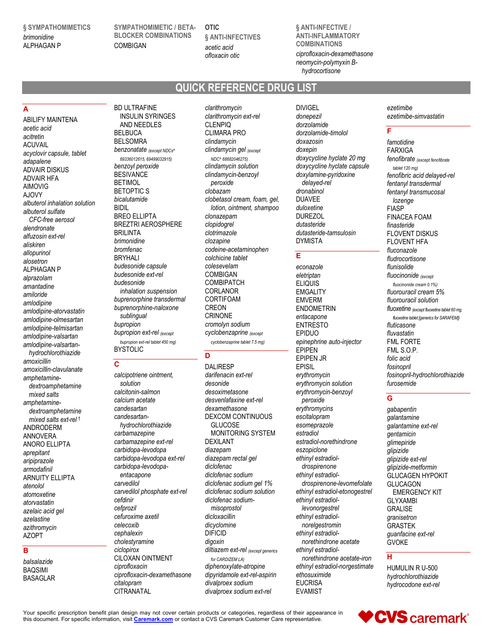§ SYMPATHOMIMETICS brimonidine ALPHAGAN P

SYMPATHOMIMETIC / BETA-BLOCKER COMBINATIONS **COMBIGAN** 

OTIC § ANTI-INFECTIVES acetic acid ofloxacin otic

§ ANTI-INFECTIVE / ANTI-INFLAMMATORY COMBINATIONS

ciprofloxacin-dexamethasone neomycin-polymyxin Bhydrocortisone

# QUICK REFERENCE DRUG LIST

# A

ABILIFY MAINTENA acetic acid acitretin ACUVAIL acyclovir capsule, tablet adapalene ADVAIR DISKUS ADVAIR HFA AIMOVIG AJOVY albuterol inhalation solution albuterol sulfate CFC-free aerosol alendronate alfuzosin ext-rel aliskiren allopurinol alosetron ALPHAGAN P alprazolam amantadine amiloride amlodipine amlodipine-atorvastatin amlodipine-olmesartan amlodipine-telmisartan amlodipine-valsartan amlodipine-valsartanhydrochlorothiazide amoxicillin amoxicillin-clavulanate amphetaminedextroamphetamine mixed salts amphetaminedextroamphetamine mixed salts ext-rel † ANDRODERM ANNOVERA ANORO ELLIPTA aprepitant aripiprazole armodafinil ARNUITY ELLIPTA atenolol atomoxetine atorvastatin azelaic acid gel azelastine azithromycin AZOPT

# B

balsalazide BAQSIMI BASAGLAR

BD ULTRAFINE INSULIN SYRINGES AND NEEDLES BELBUCA BELSOMRA benzonatate (except NDCs^ 69336012615, 69499032915) benzoyl peroxide **BESIVANCE** BETIMOL BETOPTIC S bicalutamide BIDIL BREO ELLIPTA BREZTRI AEROSPHERE BRILINTA brimonidine bromfenac BRYHALI budesonide capsule budesonide ext-rel budesonide inhalation suspension buprenorphine transdermal buprenorphine-naloxone sublingual bupropion bupropion ext-rel (except bupropion ext-rel tablet 450 mg) BYSTOLIC

# C

calcipotriene ointment, solution calcitonin-salmon calcium acetate candesartan candesartanhydrochlorothiazide carbamazepine carbamazepine ext-rel carbidopa-levodopa carbidopa-levodopa ext-rel carbidopa-levodopaentacapone carvedilol carvedilol phosphate ext-rel cefdinir cefprozil cefuroxime axetil celecoxib cephalexin cholestyramine ciclopirox CILOXAN OINTMENT ciprofloxacin ciprofloxacin-dexamethasone citalopram **CITRANATAL** 

clarithromycin clarithromycin ext-rel CLENPIQ CLIMARA PRO clindamycin clindamycin gel (except NDC^ 68682046275) clindamycin solution clindamycin-benzoyl peroxide clobazam clobetasol cream, foam, gel, lotion, ointment, shampoo clonazepam clopidogrel clotrimazole clozapine codeine-acetaminophen colchicine tablet colesevelam COMBIGAN **COMBIPATCH** CORLANOR CORTIFOAM CREON CRINONE cromolyn sodium cyclobenzaprine (except cyclobenzaprine tablet 7.5 mg)

# D

DALIRESP darifenacin ext-rel desonide desoximetasone desvenlafaxine ext-rel dexamethasone DEXCOM CONTINUOUS **GLUCOSE** MONITORING SYSTEM DEXILANT diazepam diazepam rectal gel diclofenac diclofenac sodium diclofenac sodium gel 1% diclofenac sodium solution diclofenac sodiummisoprostol dicloxacillin dicyclomine DIFICID digoxin diltiazem ext-rel (except generics for CARDIZEM LA) diphenoxylate-atropine dipyridamole ext-rel-aspirin divalproex sodium divalproex sodium ext-rel

DIVIGEL donepezil dorzolamide dorzolamide-timolol doxazosin doxepin doxycycline hyclate 20 mg doxycycline hyclate capsule doxylamine-pyridoxine delayed-rel dronabinol DUAVEE duloxetine DUREZOL dutasteride dutasteride-tamsulosin DYMISTA

# E

econazole eletriptan **ELIQUIS** EMGALITY EMVERM ENDOMETRIN entacapone ENTRESTO EPIDUO epinephrine auto-injector EPIPEN EPIPEN JR EPISIL erythromycin erythromycin solution erythromycin-benzoyl peroxide erythromycins escitalopram esomeprazole estradiol estradiol-norethindrone eszopiclone ethinyl estradioldrospirenone ethinyl estradioldrospirenone-levomefolate ethinyl estradiol-etonogestrel ethinyl estradiollevonorgestrel ethinyl estradiolnorelgestromin ethinyl estradiolnorethindrone acetate ethinyl estradiolnorethindrone acetate-iron ethinyl estradiol-norgestimate ethosuximide EUCRISA EVAMIST

ezetimibe ezetimibe-simvastatin

# F

famotidine FARXIGA fenofibrate (except fenofibrate tablet 120 mg) fenofibric acid delayed-rel fentanyl transdermal fentanyl transmucosal lozenge FIASP FINACEA FOAM finasteride FLOVENT DISKUS FLOVENT HFA fluconazole fludrocortisone flunisolide fluocinonide (except fluocinonide cream 0.1%) fluorouracil cream 5% fluorouracil solution fluoxetine (except fluoxetine tablet 60 mg, fluoxetine tablet [generics for SARAFEM]) fluticasone fluvastatin FML FORTE FML S.O.P. folic acid fosinopril fosinopril-hydrochlorothiazide furosemide

# $\overline{G}$

gabapentin galantamine galantamine ext-rel gentamicin glimepiride glipizide glipizide ext-rel glipizide-metformin GLUCAGEN HYPOKIT GLUCAGON EMERGENCY KIT GLYXAMBI GRALISE granisetron GRASTEK guanfacine ext-rel GVOKE

 $\overline{H}$ 

HUMULIN R U-500 hydrochlorothiazide hydrocodone ext-rel

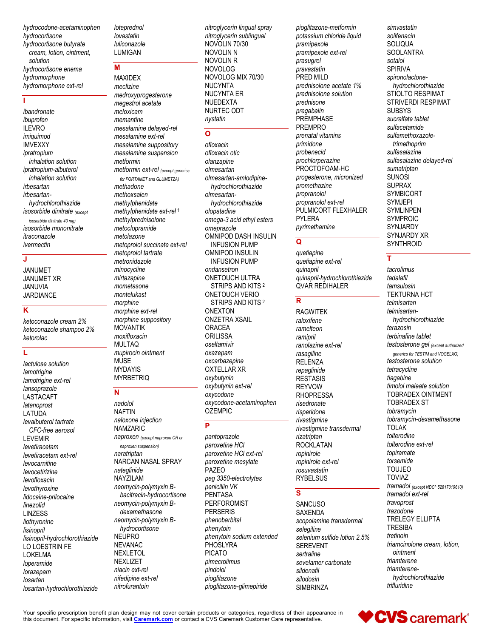hydrocodone-acetaminophen hydrocortisone hydrocortisone butyrate cream, lotion, ointment, solution hydrocortisone enema hvdromorphone hydromorphone ext-rel

#### J.

ibandronate ibuprofen **ILEVRO** imiauimod **IMVEXXY** ipratropium inhalation solution ipratropium-albuterol inhalation solution irbesartan irhesartanhydrochlorothiazide isosorbide dinitrate (except isosorbide dinitrate 40 mg) isosorbide mononitrate itraconazole ivermectin

# J

**JANUMET JANUMET XR JANUVIA JARDIANCE** 

# $\overline{\mathsf{k}}$

ketoconazole cream 2% ketoconazole shampoo 2% ketorolac

# Ĺ

lactulose solution lamotrigine lamotrigine ext-rel lansoprazole LASTACAFT latanoprost LATUDA levalbuterol tartrate CFC-free aerosol **LEVEMIR** levetiracetam levetiracetam ext-rel levocarnitine levocetirizine levofloxacin levothyroxine lidocaine-prilocaine linezolid **LINZESS** liothyronine lisinopril lisinopril-hydrochlorothiazide LO LOESTRIN FE LOKELMA loperamide lorazepam losartan losartan-hydrochlorothiazide loteprednol lovastatin luliconazole **LUMIGAN** 

# M

**MAXIDEX** meclizine medroxyprogesterone megestrol acetate meloxicam memantine mesalamine delayed-rel mesalamine ext-rel mesalamine suppository mesalamine suspension metformin metformin ext-rel (except generics for FORTAMET and GLUMETZA) methadone methoxsalen methylphenidate methylphenidate ext-rel<sup>t</sup> methylprednisolone metoclopramide metolazone metoprolol succinate ext-rel metoprolol tartrate metronidazole minocycline mirtazapine mometasone montelukast morphine morphine ext-rel morphine suppository **MOVANTIK** moxifloxacin **MULTAQ** mupirocin ointment **MUSE MYDAYIS MYRBETRIO** 

# N

nadolol **NAFTIN** naloxone injection **NAMZARIC** naproxen (except naproxen CR or

naproxen suspension) naratriptan NARCAN NASAL SPRAY nateglinide **NAYZILAM** neomycin-polymyxin Bbacitracin-hydrocortisone neomycin-polymyxin Bdexamethasone neomycin-polymyxin Bhydrocortisone **NEUPRO NEVANAC NEXLETOL NEXLIZET** niacin ext-rel nifedipine ext-rel nitrofurantoin

nitroglycerin lingual spray nitroglycerin sublingual NOVOLIN 70/30 NOVOLIN N NOVOLIN R NOVOLOG NOVOLOG MIX 70/30 **NUCYNTA NUCYNTA ER NUEDEXTA** NURTEC ODT nystatin

# $\overline{\mathsf{o}}$

ofloxacin ofloxacin otic olanzapine olmesartan olmesartan-amlodipinehydrochlorothiazide olmesartanhydrochlorothiazide olopatadine omega-3 acid ethyl esters omeprazole OMNIPOD DASH INSULIN **INFUSION PUMP OMNIPOD INSULIN INFUSION PUMP** ondansetron ONETOUCH ULTRA STRIPS AND KITS<sup>2</sup> ONETOUCH VERIO STRIPS AND KITS<sup>2</sup> **ONEXTON ONZETRA XSAIL ORACEA** ORILISSA oseltamivir oxazepam oxcarbazepine **OXTELLAR XR** oxybutynin oxybutynin ext-rel oxycodone oxycodone-acetaminophen **OZEMPIC** 

# P

pantoprazole paroxetine HCI paroxetine HCI ext-rel paroxetine mesylate PAZEO peg 3350-electrolytes penicillin VK **PENTASA PERFOROMIST PERSERIS** phenobarbital phenytoin phenytoin sodium extended PHOSLYRA **PICATO** pimecrolimus pindolol pioglitazone pioglitazone-glimepiride

pioglitazone-metformin potassium chloride liquid pramipexole pramipexole ext-rel prasugrel pravastatin PRED MILD prednisolone acetate 1% prednisolone solution prednisone pregabalin PREMPHASE **PREMPRO** prenatal vitamins primidone probenecid prochlorperazine PROCTOFOAM-HC progesterone, micronized promethazine propranolol propranolol ext-rel PULMICORT FLEXHALER **PYLERA** pyrimethamine

# $\mathbf Q$

quetiapine quetiapine ext-rel quinapril quinapril-hydrochlorothiazide **QVAR REDIHALER** 

# $\mathbf R$

**RAGWITEK** raloxifene ramelteon ramipril ranolazine ext-rel rasagiline **RELENZA** repaglinide **RESTASIS REYVOW RHOPRESSA** risedronate risperidone rivastigmine rivastigmine transdermal rizatriptan ROCKI ATAN ropinirole ropinirole ext-rel rosuvastatin **RYBELSUS** 

# $\mathbf{s}$

**SANCUSO SAXENDA** scopolamine transdermal selegiline selenium sulfide lotion 2.5% **SEREVENT** sertraline sevelamer carbonate sildenafil silodosin **SIMBRINZA** 

simvastatin solifenacin **SOLIQUA SOOLANTRA** sotalol SPIRIVA spironolactonehydrochlorothiazide STIOLTO RESPIMAT STRIVERDI RESPIMAT **SUBSYS** sucralfate tablet sulfacetamide sulfamethoxazoletrimethoprim sulfasalazine sulfasalazine delayed-rel sumatriptan **SUNOSI SUPRAX SYMBICORT SYMJEPI SYMLINPEN SYMPROIC** SYNJARDY SYNJARDY XR SYNTHROID

# T

tacrolimus tadalafil tamsulosin **TEKTURNA HCT** telmisartan telmisartanhydrochlorothiazide terazosin terbinafine tablet testosterone gel (except authorized generics for TESTIM and VOGELXO) testosterone solution tetracycline tiagabine timolol maleate solution **TOBRADEX OINTMENT TOBRADEX ST** tobramycin tobramycin-dexamethasone **TOLAK** tolterodine tolterodine ext-rel topiramate torsemide **TOUJEO TOVIAZ** tramadol (except NDC^ 52817019610) tramadol ext-rel travoprost trazodone **TRELEGY ELLIPTA TRESIBA** tretinoin triamcinolone cream, lotion, ointment triamterene triamterenehydrochlorothiazide trifluridine

CVS caremark®

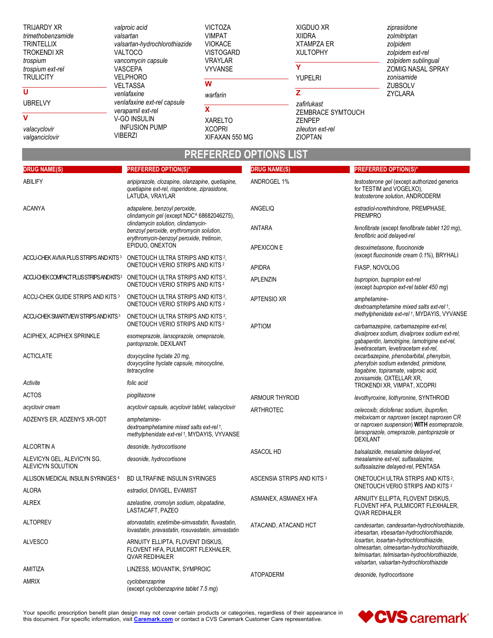| <b>TRIJARDY XR</b><br>trimethobenzamide<br><b>TRINTELLIX</b><br><b>TROKENDI XR</b><br>trospium<br>trospium ext-rel<br><b>TRULICITY</b> | valproic acid<br>valsartan<br>valsartan-hydrochlorothiazide<br><b>VALTOCO</b><br>vancomycin capsule<br><b>VASCEPA</b><br><b>VELPHORO</b> | <b>VICTOZA</b><br><b>VIMPAT</b><br><b>VIOKACE</b><br><b>VISTOGARD</b><br><b>VRAYLAR</b><br><b>VYVANSE</b> | XIGDUO XR<br><b>XIIDRA</b><br><b>XTAMPZA ER</b><br><b>XULTOPHY</b><br>YUPELRI | ziprasidone<br>zolmitriptan<br>zolpidem<br>zolpidem ext-rel<br>zolpidem sublingual<br><b>ZOMIG NASAL SPRAY</b><br>zonisamide |
|----------------------------------------------------------------------------------------------------------------------------------------|------------------------------------------------------------------------------------------------------------------------------------------|-----------------------------------------------------------------------------------------------------------|-------------------------------------------------------------------------------|------------------------------------------------------------------------------------------------------------------------------|
| U                                                                                                                                      | <b>VELTASSA</b><br>venlafaxine                                                                                                           | W<br>warfarin                                                                                             |                                                                               | <b>ZUBSOLV</b><br>ZYCLARA                                                                                                    |
| <b>UBRELVY</b>                                                                                                                         | venlafaxine ext-rel capsule<br>verapamil ext-rel                                                                                         | χ                                                                                                         | zafirlukast<br>ZEMBRACE SYMTOUCH                                              |                                                                                                                              |
| v<br>valacyclovir<br>valganciclovir                                                                                                    | V-GO INSULIN<br><b>INFUSION PUMP</b><br><b>VIBERZI</b>                                                                                   | <b>XARELTO</b><br><b>XCOPRI</b><br>XIFAXAN 550 MG                                                         | <b>ZENPEP</b><br>zileuton ext-rel<br><b>ZIOPTAN</b>                           |                                                                                                                              |

# **PREFERRED OPTIONS LIST**

| <b>DRUG NAME(S)</b>                               | <b>PREFERRED OPTION(S)*</b>                                                                                                               | <b>DRUG NAME(S)</b>        | <b>PREFERRED OPTION(S)*</b>                                                                                                                                                         |
|---------------------------------------------------|-------------------------------------------------------------------------------------------------------------------------------------------|----------------------------|-------------------------------------------------------------------------------------------------------------------------------------------------------------------------------------|
| ABILIFY                                           | aripiprazole, clozapine, olanzapine, quetiapine,<br>quetiapine ext-rel, risperidone, ziprasidone,<br>LATUDA, VRAYLAR                      | ANDROGEL 1%                | testosterone gel (except authorized generics<br>for TESTIM and VOGELXO),<br>testosterone solution, ANDRODERM                                                                        |
| <b>ACANYA</b>                                     | adapalene, benzoyl peroxide,<br>clindamycin gel (except NDC^ 68682046275),                                                                | ANGELIQ                    | estradiol-norethindrone, PREMPHASE,<br><b>PREMPRO</b>                                                                                                                               |
|                                                   | clindamycin solution, clindamycin-<br>benzoyl peroxide, erythromycin solution,<br>erythromycin-benzoyl peroxide, tretinoin,               | ANTARA                     | fenofibrate (except fenofibrate tablet 120 mg),<br>fenofibric acid delayed-rel                                                                                                      |
| ACCU-CHEK AVIVA PLUS STRIPS AND KITS <sup>3</sup> | EPIDUO, ONEXTON<br>ONETOUCH ULTRA STRIPS AND KITS <sup>2</sup> ,                                                                          | <b>APEXICON E</b>          | desoximetasone. fluocinonide<br>(except fluocinonide cream 0.1%), BRYHALI                                                                                                           |
|                                                   | <b>ONETOUCH VERIO STRIPS AND KITS 2</b>                                                                                                   | <b>APIDRA</b>              | FIASP, NOVOLOG                                                                                                                                                                      |
|                                                   | ACCUCHEKCOMPACTPLUSSTRPSANDKITS <sup>3</sup> ONETOUCH ULTRA STRIPS AND KITS <sup>2</sup> ,<br>ONETOUCH VERIO STRIPS AND KITS <sup>2</sup> | <b>APLENZIN</b>            | bupropion, bupropion ext-rel<br>(except bupropion ext-rel tablet 450 mg)                                                                                                            |
| ACCU-CHEK GUIDE STRIPS AND KITS 3                 | ONETOUCH ULTRA STRIPS AND KITS <sup>2</sup> .<br><b>ONETOUCH VERIO STRIPS AND KITS 2</b>                                                  | <b>APTENSIO XR</b>         | amphetamine-<br>dextroamphetamine mixed salts ext-rel +,                                                                                                                            |
| ACCU-CHEK SMARTVIEW STRIPS AND KITS <sup>3</sup>  | ONETOUCH ULTRA STRIPS AND KITS <sup>2</sup> ,<br><b>ONETOUCH VERIO STRIPS AND KITS 2</b>                                                  | <b>APTIOM</b>              | methylphenidate ext-rel +, MYDAYIS, VYVANSE<br>carbamazepine, carbamazepine ext-rel,                                                                                                |
| ACIPHEX, ACIPHEX SPRINKLE                         | esomeprazole, lansoprazole, omeprazole,<br>pantoprazole, DEXILANT                                                                         |                            | divalproex sodium, divalproex sodium ext-rel,<br>gabapentin, lamotrigine, lamotrigine ext-rel,<br>levetiracetam, levetiracetam ext-rel,                                             |
| <b>ACTICLATE</b>                                  | doxycycline hyclate 20 mg,<br>doxycycline hyclate capsule, minocycline,<br>tetracycline                                                   |                            | oxcarbazepine, phenobarbital, phenytoin,<br>phenytoin sodium extended, primidone,<br>tiagabine, topiramate, valproic acid,                                                          |
| Activite                                          | folic acid                                                                                                                                |                            | zonisamide, OXTELLAR XR,<br>TROKENDI XR, VIMPAT, XCOPRI                                                                                                                             |
| <b>ACTOS</b>                                      | pioglitazone                                                                                                                              | ARMOUR THYROID             | levothyroxine, liothyronine, SYNTHROID                                                                                                                                              |
| acyclovir cream                                   | acyclovir capsule, acyclovir tablet, valacyclovir                                                                                         | ARTHROTEC                  | celecoxib; diclofenac sodium, ibuprofen,                                                                                                                                            |
| ADZENYS ER, ADZENYS XR-ODT                        | amphetamine-<br>dextroamphetamine mixed salts ext-rel +,<br>methylphenidate ext-rel +, MYDAYIS, VYVANSE                                   |                            | meloxicam or naproxen (except naproxen CR<br>or naproxen suspension) WITH esomeprazole,<br>lansoprazole, omeprazole, pantoprazole or<br><b>DEXILANT</b>                             |
| <b>ALCORTIN A</b>                                 | desonide, hydrocortisone                                                                                                                  | ASACOL HD                  | balsalazide, mesalamine delayed-rel,                                                                                                                                                |
| ALEVICYN GEL, ALEVICYN SG,<br>ALEVICYN SOLUTION   | desonide, hydrocortisone                                                                                                                  |                            | mesalamine ext-rel, sulfasalazine,<br>sulfasalazine delayed-rel, PENTASA                                                                                                            |
| ALLISON MEDICAL INSULIN SYRINGES 4                | BD ULTRAFINE INSULIN SYRINGES                                                                                                             | ASCENSIA STRIPS AND KITS 3 | ONETOUCH ULTRA STRIPS AND KITS <sup>2</sup> ,<br>ONETOUCH VERIO STRIPS AND KITS <sup>2</sup>                                                                                        |
| ALORA                                             | estradiol, DIVIGEL, EVAMIST                                                                                                               |                            | ARNUITY ELLIPTA, FLOVENT DISKUS,                                                                                                                                                    |
| <b>ALREX</b>                                      | azelastine, cromolyn sodium, olopatadine,<br>LASTACAFT, PAZEO                                                                             | ASMANEX, ASMANEX HFA       | FLOVENT HFA, PULMICORT FLEXHALER,<br><b>QVAR REDIHALER</b>                                                                                                                          |
| <b>ALTOPREV</b>                                   | atorvastatin, ezetimibe-simvastatin, fluvastatin,<br>lovastatin, pravastatin, rosuvastatin, simvastatin                                   | ATACAND, ATACAND HCT       | candesartan, candesartan-hydrochlorothiazide,<br>irbesartan, irbesartan-hydrochlorothiazide,                                                                                        |
| <b>ALVESCO</b>                                    | ARNUITY ELLIPTA, FLOVENT DISKUS,<br>FLOVENT HFA, PULMICORT FLEXHALER,<br>QVAR REDIHALER                                                   |                            | losartan, losartan-hydrochlorothiazide,<br>olmesartan, olmesartan-hydrochlorothiazide,<br>telmisartan, telmisartan-hydrochlorothiazide,<br>valsartan, valsartan-hydrochlorothiazide |
| AMITIZA                                           | LINZESS, MOVANTIK, SYMPROIC                                                                                                               | <b>ATOPADERM</b>           | desonide, hydrocortisone                                                                                                                                                            |
| <b>AMRIX</b>                                      | cyclobenzaprine<br>(except cyclobenzaprine tablet 7.5 mg)                                                                                 |                            |                                                                                                                                                                                     |

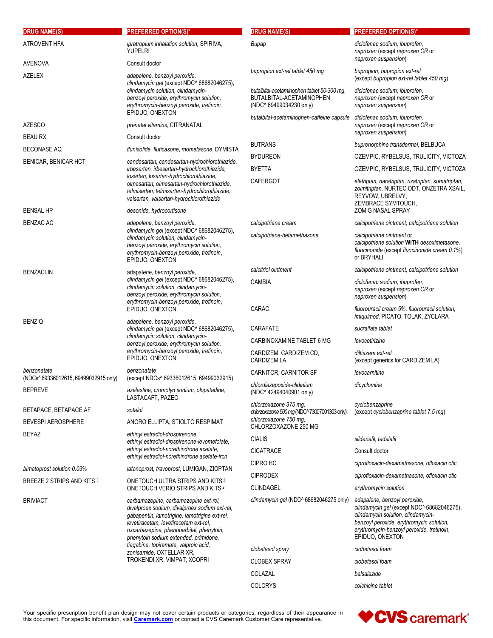| <b>DRUG NAME(S)</b>                                  | <b>PREFERRED OPTION(S)*</b>                                                                                                                                                                                                                                           | <b>DRUG NAME(S)</b>                                                                               | <b>PREFERRED OPTION(S)*</b>                                                                                                                                                                                                  |
|------------------------------------------------------|-----------------------------------------------------------------------------------------------------------------------------------------------------------------------------------------------------------------------------------------------------------------------|---------------------------------------------------------------------------------------------------|------------------------------------------------------------------------------------------------------------------------------------------------------------------------------------------------------------------------------|
| <b>ATROVENT HFA</b>                                  | ipratropium inhalation solution, SPIRIVA,<br><b>YUPELRI</b>                                                                                                                                                                                                           | Bupap                                                                                             | diclofenac sodium, ibuprofen,<br>naproxen (except naproxen CR or<br>naproxen suspension)                                                                                                                                     |
| <b>AVENOVA</b><br><b>AZELEX</b>                      | Consult doctor<br>adapalene, benzoyl peroxide,                                                                                                                                                                                                                        | bupropion ext-rel tablet 450 mg                                                                   | bupropion, bupropion ext-rel<br>(except bupropion ext-rel tablet 450 mg)                                                                                                                                                     |
|                                                      | clindamycin gel (except NDC^ 68682046275),<br>clindamycin solution, clindamycin-<br>benzoyl peroxide, erythromycin solution,<br>erythromycin-benzoyl peroxide, tretinoin,                                                                                             | butalbital-acetaminophen tablet 50-300 mg,<br>BUTALBITAL-ACETAMINOPHEN<br>(NDC^ 69499034230 only) | diclofenac sodium, ibuprofen,<br>naproxen (except naproxen CR or<br>naproxen suspension)                                                                                                                                     |
| <b>AZESCO</b>                                        | EPIDUO, ONEXTON<br>prenatal vitamins, CITRANATAL                                                                                                                                                                                                                      | butalbital-acetaminophen-caffeine capsule                                                         | diclofenac sodium, ibuprofen,<br>naproxen (except naproxen CR or                                                                                                                                                             |
| <b>BEAU RX</b>                                       | Consult doctor                                                                                                                                                                                                                                                        |                                                                                                   | naproxen suspension)                                                                                                                                                                                                         |
| <b>BECONASE AQ</b>                                   | flunisolide, fluticasone, mometasone, DYMISTA                                                                                                                                                                                                                         | <b>BUTRANS</b>                                                                                    | buprenorphine transdermal, BELBUCA                                                                                                                                                                                           |
| BENICAR, BENICAR HCT                                 | candesartan, candesartan-hydrochlorothiazide,                                                                                                                                                                                                                         | <b>BYDUREON</b>                                                                                   | OZEMPIC, RYBELSUS, TRULICITY, VICTOZA                                                                                                                                                                                        |
|                                                      | irbesartan, irbesartan-hydrochlorothiazide,<br>losartan, losartan-hydrochlorothiazide,                                                                                                                                                                                | <b>BYETTA</b>                                                                                     | OZEMPIC, RYBELSUS, TRULICITY, VICTOZA                                                                                                                                                                                        |
|                                                      | olmesartan, olmesartan-hydrochlorothiazide,<br>telmisartan, telmisartan-hydrochlorothiazide,<br>valsartan, valsartan-hydrochlorothiazide                                                                                                                              | <b>CAFERGOT</b>                                                                                   | eletriptan, naratriptan, rizatriptan, sumatriptan,<br>zolmitriptan, NURTEC ODT, ONZETRA XSAIL,<br>REYVOW, UBRELVY,<br>ZEMBRACE SYMTOUCH,                                                                                     |
| <b>BENSAL HP</b>                                     | desonide, hydrocortisone                                                                                                                                                                                                                                              |                                                                                                   | <b>ZOMIG NASAL SPRAY</b>                                                                                                                                                                                                     |
| <b>BENZAC AC</b>                                     | adapalene, benzoyl peroxide,<br>clindamycin gel (except NDC^ 68682046275),                                                                                                                                                                                            | calcipotriene cream                                                                               | calcipotriene ointment, calcipotriene solution                                                                                                                                                                               |
|                                                      | clindamycin solution, clindamycin-<br>benzoyl peroxide, erythromycin solution,<br>erythromycin-benzoyl peroxide, tretinoin,<br>EPIDUO, ONEXTON                                                                                                                        | calcipotriene-betamethasone                                                                       | calcipotriene ointment or<br>calcipotriene solution WITH desoximetasone,<br>fluocinonide (except fluocinonide cream 0.1%)<br>or BRYHALI                                                                                      |
| <b>BENZACLIN</b>                                     | adapalene, benzoyl peroxide,<br>clindamycin gel (except NDC^ 68682046275),<br>clindamycin solution, clindamycin-<br>benzoyl peroxide, erythromycin solution,<br>erythromycin-benzoyl peroxide, tretinoin,<br>EPIDUO, ONEXTON                                          | calcitriol ointment                                                                               | calcipotriene ointment, calcipotriene solution                                                                                                                                                                               |
|                                                      |                                                                                                                                                                                                                                                                       | <b>CAMBIA</b>                                                                                     | diclofenac sodium, ibuprofen,<br>naproxen (except naproxen CR or<br>naproxen suspension)                                                                                                                                     |
|                                                      |                                                                                                                                                                                                                                                                       | CARAC                                                                                             | fluorouracil cream 5%, fluorouracil solution,<br>imiquimod, PICATO, TOLAK, ZYCLARA                                                                                                                                           |
| <b>BENZIQ</b>                                        | adapalene, benzoyl peroxide,<br>clindamycin gel (except NDC^ 68682046275),                                                                                                                                                                                            | CARAFATE                                                                                          | sucralfate tablet                                                                                                                                                                                                            |
|                                                      | clindamycin solution, clindamycin-<br>benzoyl peroxide, erythromycin solution,<br>erythromycin-benzoyl peroxide, tretinoin,<br>EPIDUO, ONEXTON                                                                                                                        | CARBINOXAMINE TABLET 6 MG                                                                         | levocetirizine                                                                                                                                                                                                               |
|                                                      |                                                                                                                                                                                                                                                                       | CARDIZEM, CARDIZEM CD,<br><b>CARDIZEM LA</b>                                                      | diltiazem ext-rel<br>(except generics for CARDIZEM LA)                                                                                                                                                                       |
| benzonatate<br>(NDCs^ 69336012615, 69499032915 only) | benzonatate<br>(except NDCs^ 69336012615, 69499032915)                                                                                                                                                                                                                | CARNITOR, CARNITOR SF                                                                             | levocarnitine                                                                                                                                                                                                                |
| <b>BEPREVE</b>                                       | azelastine, cromolyn sodium, olopatadine,<br>LASTACAFT, PAZEO                                                                                                                                                                                                         | chlordiazepoxide-clidinium<br>(NDC^42494040901 only)                                              | dicyclomine                                                                                                                                                                                                                  |
| BETAPACE, BETAPACE AF                                | sotalol                                                                                                                                                                                                                                                               | chlorzoxazone 375 mg,                                                                             | cyclobenzaprine                                                                                                                                                                                                              |
| <b>BEVESPI AEROSPHERE</b>                            | ANORO ELLIPTA, STIOLTO RESPIMAT                                                                                                                                                                                                                                       | chlorzoxazone 500 mg (NDC^73007001303 only),<br>chlorzoxazone 750 mg,                             | (except cyclobenzaprine tablet 7.5 mg)                                                                                                                                                                                       |
| <b>BEYAZ</b>                                         | ethinyl estradiol-drospirenone,                                                                                                                                                                                                                                       | CHLORZOXAZONE 250 MG                                                                              |                                                                                                                                                                                                                              |
|                                                      | ethinyl estradiol-drospirenone-levomefolate,<br>ethinyl estradiol-norethindrone acetate,<br>ethinyl estradiol-norethindrone acetate-iron                                                                                                                              | <b>CIALIS</b>                                                                                     | sildenafil, tadalafil                                                                                                                                                                                                        |
|                                                      |                                                                                                                                                                                                                                                                       | <b>CICATRACE</b>                                                                                  | Consult doctor                                                                                                                                                                                                               |
| bimatoprost solution 0.03%                           | latanoprost, travoprost, LUMIGAN, ZIOPTAN                                                                                                                                                                                                                             | CIPRO HC                                                                                          | ciprofloxacin-dexamethasone, ofloxacin otic                                                                                                                                                                                  |
| BREEZE 2 STRIPS AND KITS 3                           | ONETOUCH ULTRA STRIPS AND KITS <sup>2</sup> ,                                                                                                                                                                                                                         | <b>CIPRODEX</b>                                                                                   | ciprofloxacin-dexamethasone, ofloxacin otic                                                                                                                                                                                  |
|                                                      | <b>ONETOUCH VERIO STRIPS AND KITS 2</b>                                                                                                                                                                                                                               | <b>CLINDAGEL</b>                                                                                  | erythromycin solution                                                                                                                                                                                                        |
| <b>BRIVIACT</b>                                      | carbamazepine, carbamazepine ext-rel,<br>divalproex sodium, divalproex sodium ext-rel,<br>gabapentin, lamotrigine, lamotrigine ext-rel,<br>levetiracetam, levetiracetam ext-rel,<br>oxcarbazepine, phenobarbital, phenytoin,<br>phenytoin sodium extended, primidone, | clindamycin gel (NDC^ 68682046275 only)                                                           | adapalene, benzoyl peroxide,<br>clindamycin gel (except NDC^ 68682046275),<br>clindamycin solution, clindamycin-<br>benzoyl peroxide, erythromycin solution,<br>erythromycin-benzoyl peroxide, tretinoin,<br>EPIDUO, ONEXTON |
|                                                      | tiagabine, topiramate, valproic acid,<br>zonisamide, OXTELLAR XR,                                                                                                                                                                                                     | clobetasol spray                                                                                  | clobetasol foam                                                                                                                                                                                                              |
|                                                      | TROKENDI XR, VIMPAT, XCOPRI                                                                                                                                                                                                                                           | <b>CLOBEX SPRAY</b>                                                                               | clobetasol foam                                                                                                                                                                                                              |
|                                                      |                                                                                                                                                                                                                                                                       | COLAZAL                                                                                           | balsalazide                                                                                                                                                                                                                  |
|                                                      |                                                                                                                                                                                                                                                                       | <b>COLCRYS</b>                                                                                    | colchicine tablet                                                                                                                                                                                                            |

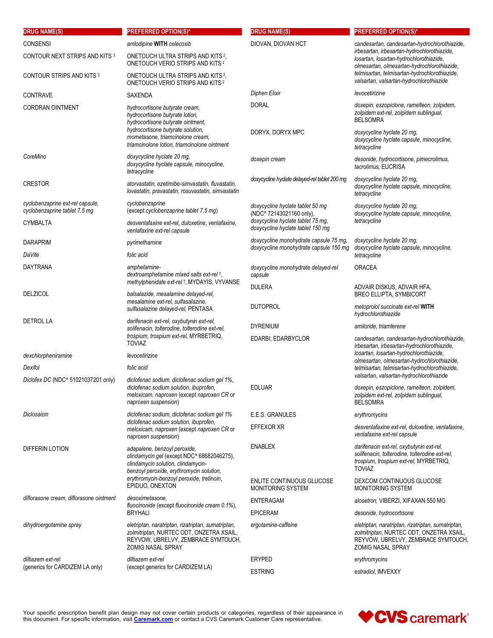| <b>DRUG NAME(S)</b>                                               | <b>PREFERRED OPTION(S)*</b>                                                                                                                                                                                                  | <b>DRUG NAME(S)</b>                                                              | <b>PREFERRED OPTION(S)*</b>                                                                                                                                                                                                                                                         |
|-------------------------------------------------------------------|------------------------------------------------------------------------------------------------------------------------------------------------------------------------------------------------------------------------------|----------------------------------------------------------------------------------|-------------------------------------------------------------------------------------------------------------------------------------------------------------------------------------------------------------------------------------------------------------------------------------|
| <b>CONSENSI</b>                                                   | amlodipine WITH celecoxib                                                                                                                                                                                                    | DIOVAN, DIOVAN HCT                                                               | candesartan, candesartan-hydrochlorothiazide,<br>irbesartan, irbesartan-hydrochlorothiazide,<br>losartan, losartan-hydrochlorothiazide,<br>olmesartan, olmesartan-hydrochlorothiazide,<br>telmisartan, telmisartan-hydrochlorothiazide,<br>valsartan, valsartan-hydrochlorothiazide |
| CONTOUR NEXT STRIPS AND KITS 3                                    | ONETOUCH ULTRA STRIPS AND KITS <sup>2</sup> ,<br>ONETOUCH VERIO STRIPS AND KITS <sup>2</sup>                                                                                                                                 |                                                                                  |                                                                                                                                                                                                                                                                                     |
| CONTOUR STRIPS AND KITS 3                                         | ONETOUCH ULTRA STRIPS AND KITS <sup>2</sup> ,<br>ONETOUCH VERIO STRIPS AND KITS <sup>2</sup>                                                                                                                                 |                                                                                  |                                                                                                                                                                                                                                                                                     |
| <b>CONTRAVE</b>                                                   | SAXENDA                                                                                                                                                                                                                      | Diphen Elixir                                                                    | levocetirizine                                                                                                                                                                                                                                                                      |
| <b>CORDRAN OINTMENT</b>                                           | hydrocortisone butyrate cream,<br>hydrocortisone butyrate lotion,<br>hydrocortisone butyrate ointment,                                                                                                                       | <b>DORAL</b>                                                                     | doxepin, eszopiclone, ramelteon, zolpidem,<br>zolpidem ext-rel, zolpidem sublingual,<br><b>BELSOMRA</b>                                                                                                                                                                             |
|                                                                   | hydrocortisone butyrate solution,<br>mometasone, triamcinolone cream,<br>triamcinolone lotion, triamcinolone ointment                                                                                                        | DORYX, DORYX MPC                                                                 | doxycycline hyclate 20 mg,<br>doxycycline hyclate capsule, minocycline,<br>tetracycline                                                                                                                                                                                             |
| CoreMino                                                          | doxycycline hyclate 20 mg,<br>doxycycline hyclate capsule, minocycline,<br>tetracycline                                                                                                                                      | doxepin cream                                                                    | desonide, hydrocortisone, pimecrolimus,<br>tacrolimus, EUCRISA                                                                                                                                                                                                                      |
| <b>CRESTOR</b>                                                    | atorvastatin, ezetimibe-simvastatin, fluvastatin,<br>lovastatin, pravastatin, rosuvastatin, simvastatin                                                                                                                      | doxycycline hyclate delayed-rel tablet 200 mg                                    | doxycycline hyclate 20 mg,<br>doxycycline hyclate capsule, minocycline,<br>tetracycline                                                                                                                                                                                             |
| cyclobenzaprine ext-rel capsule.<br>cyclobenzaprine tablet 7.5 mg | cyclobenzaprine<br>(except cyclobenzaprine tablet 7.5 mg)                                                                                                                                                                    | doxycycline hyclate tablet 50 mg<br>(NDC^ 72143021160 only),                     | doxycycline hyclate 20 mg,<br>doxycycline hyclate capsule, minocycline,                                                                                                                                                                                                             |
| CYMBALTA                                                          | desvenlafaxine ext-rel, duloxetine, venlafaxine,<br>venlafaxine ext-rel capsule                                                                                                                                              | doxycycline hyclate tablet 75 mg,<br>doxycycline hyclate tablet 150 mg           | tetracycline                                                                                                                                                                                                                                                                        |
| DARAPRIM                                                          | pyrimethamine                                                                                                                                                                                                                | doxycycline monohydrate capsule 75 mg,<br>doxycycline monohydrate capsule 150 mg | doxycycline hyclate 20 mg,                                                                                                                                                                                                                                                          |
| DaVite                                                            | folic acid                                                                                                                                                                                                                   |                                                                                  | doxycycline hyclate capsule, minocycline,<br>tetracycline                                                                                                                                                                                                                           |
| DAYTRANA                                                          | amphetamine-<br>dextroamphetamine mixed salts ext-rel +,                                                                                                                                                                     | doxycycline monohydrate delayed-rel<br>capsule                                   | <b>ORACEA</b>                                                                                                                                                                                                                                                                       |
| <b>DELZICOL</b>                                                   | methylphenidate ext-rel +, MYDAYIS, VYVANSE<br>balsalazide, mesalamine delayed-rel,<br>mesalamine ext-rel, sulfasalazine,<br>sulfasalazine delayed-rel, PENTASA                                                              | <b>DULERA</b>                                                                    | ADVAIR DISKUS, ADVAIR HFA,<br><b>BREO ELLIPTA, SYMBICORT</b>                                                                                                                                                                                                                        |
|                                                                   |                                                                                                                                                                                                                              | <b>DUTOPROL</b>                                                                  | metoprolol succinate ext-rel WITH<br>hydrochlorothiazide                                                                                                                                                                                                                            |
| <b>DETROL LA</b>                                                  | darifenacin ext-rel, oxybutynin ext-rel,<br>solifenacin, tolterodine, tolterodine ext-rel,<br>trospium, trospium ext-rel, MYRBETRIQ,<br><b>TOVIAZ</b>                                                                        | <b>DYRENIUM</b>                                                                  | amiloride, triamterene                                                                                                                                                                                                                                                              |
|                                                                   |                                                                                                                                                                                                                              | EDARBI, EDARBYCLOR                                                               | candesartan, candesartan-hydrochlorothiazide,<br>irbesartan, irbesartan-hydrochlorothiazide,                                                                                                                                                                                        |
| dexchlorpheniramine                                               | levocetirizine                                                                                                                                                                                                               |                                                                                  | losartan, losartan-hydrochlorothiazide,<br>olmesartan, olmesartan-hydrochlorothiazide,<br>telmisartan, telmisartan-hydrochlorothiazide,<br>valsartan, valsartan-hydrochlorothiazide                                                                                                 |
| Dexifol                                                           | folic acid                                                                                                                                                                                                                   |                                                                                  |                                                                                                                                                                                                                                                                                     |
| Diclofex DC (NDC^ 51021037201 only)                               | diclofenac sodium, diclofenac sodium gel 1%,<br>diclofenac sodium solution, ibuprofen,<br>meloxicam, naproxen (except naproxen CR or<br>naproxen suspension)                                                                 | <b>EDLUAR</b>                                                                    | doxepin, eszopiclone, ramelteon, zolpidem,<br>zolpidem ext-rel, zolpidem sublingual,<br><b>BELSOMRA</b>                                                                                                                                                                             |
| Diclosaicin                                                       | diclofenac sodium, diclofenac sodium gel 1%                                                                                                                                                                                  | E.E.S. GRANULES                                                                  | erythromycins                                                                                                                                                                                                                                                                       |
|                                                                   | diclofenac sodium solution, ibuprofen,<br>meloxicam, naproxen (except naproxen CR or<br>naproxen suspension)                                                                                                                 | EFFEXOR XR                                                                       | desvenlafaxine ext-rel, duloxetine, venlafaxine,<br>venlafaxine ext-rel capsule                                                                                                                                                                                                     |
| <b>DIFFERIN LOTION</b>                                            | adapalene, benzoyl peroxide,<br>clindamycin gel (except NDC^ 68682046275),<br>clindamycin solution, clindamycin-<br>benzoyl peroxide, erythromycin solution,<br>erythromycin-benzoyl peroxide, tretinoin,<br>EPIDUO, ONEXTON | <b>ENABLEX</b>                                                                   | darifenacin ext-rel, oxybutynin ext-rel,<br>solifenacin, tolterodine, tolterodine ext-rel,<br>trospium, trospium ext-rel, MYRBETRIQ,<br><b>TOVIAZ</b>                                                                                                                               |
|                                                                   |                                                                                                                                                                                                                              | ENLITE CONTINUOUS GLUCOSE<br>MONITORING SYSTEM                                   | DEXCOM CONTINUOUS GLUCOSE<br>MONITORING SYSTEM                                                                                                                                                                                                                                      |
| diflorasone cream, diflorasone ointment                           | desoximetasone,<br>fluocinonide (except fluocinonide cream 0.1%),                                                                                                                                                            | <b>ENTERAGAM</b>                                                                 | alosetron, VIBERZI, XIFAXAN 550 MG                                                                                                                                                                                                                                                  |
|                                                                   | <b>BRYHALI</b>                                                                                                                                                                                                               | <b>EPICERAM</b>                                                                  | desonide, hydrocortisone                                                                                                                                                                                                                                                            |
| dihydroergotamine spray                                           | eletriptan, naratriptan, rizatriptan, sumatriptan,<br>zolmitriptan, NURTEC ODT, ONZETRA XSAIL,<br>REYVOW, UBRELVY, ZEMBRACE SYMTOUCH,<br>ZOMIG NASAL SPRAY                                                                   | ergotamine-caffeine                                                              | eletriptan, naratriptan, rizatriptan, sumatriptan,<br>zolmitriptan, NURTEC ODT, ONZETRA XSAIL,<br>REYVOW, UBRELVY, ZEMBRACE SYMTOUCH,<br><b>ZOMIG NASAL SPRAY</b>                                                                                                                   |
| diltiazem ext-rel<br>(generics for CARDIZEM LA only)              | diltiazem ext-rel<br>(except generics for CARDIZEM LA)                                                                                                                                                                       | <b>ERYPED</b>                                                                    | erythromycins                                                                                                                                                                                                                                                                       |
|                                                                   |                                                                                                                                                                                                                              | <b>ESTRING</b>                                                                   | estradiol, IMVEXXY                                                                                                                                                                                                                                                                  |

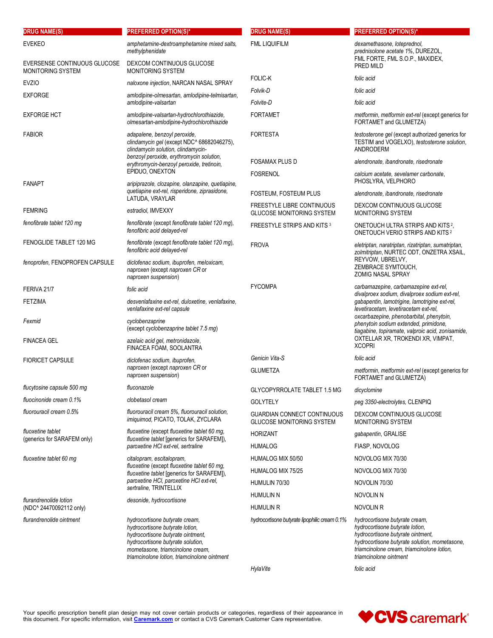| <b>DRUG NAME(S)</b>                               | <b>PREFERRED OPTION(S)*</b>                                                                                                                                                                                                     | <b>DRUG NAME(S)</b>                                                    | <b>PREFERRED OPTION(S)*</b>                                                                                                                                                                                                     |
|---------------------------------------------------|---------------------------------------------------------------------------------------------------------------------------------------------------------------------------------------------------------------------------------|------------------------------------------------------------------------|---------------------------------------------------------------------------------------------------------------------------------------------------------------------------------------------------------------------------------|
| <b>EVEKEO</b>                                     | amphetamine-dextroamphetamine mixed salts,<br>methylphenidate                                                                                                                                                                   | <b>FML LIQUIFILM</b>                                                   | dexamethasone, loteprednol,<br>prednisolone acetate 1%, DUREZOL,                                                                                                                                                                |
| EVERSENSE CONTINUOUS GLUCOSE<br>MONITORING SYSTEM | DEXCOM CONTINUOUS GLUCOSE<br><b>MONITORING SYSTEM</b>                                                                                                                                                                           |                                                                        | FML FORTE, FML S.O.P., MAXIDEX,<br>PRED MILD                                                                                                                                                                                    |
| <b>EVZIO</b>                                      | naloxone injection, NARCAN NASAL SPRAY                                                                                                                                                                                          | FOLIC-K                                                                | folic acid                                                                                                                                                                                                                      |
| <b>EXFORGE</b>                                    | amlodipine-olmesartan, amlodipine-telmisartan,                                                                                                                                                                                  | Folvik-D                                                               | folic acid                                                                                                                                                                                                                      |
|                                                   | amlodipine-valsartan                                                                                                                                                                                                            | Folvite-D                                                              | folic acid                                                                                                                                                                                                                      |
| <b>EXFORGE HCT</b>                                | amlodipine-valsartan-hydrochlorothiazide,<br>olmesartan-amlodipine-hydrochlorothiazide                                                                                                                                          | <b>FORTAMET</b>                                                        | metformin, metformin ext-rel (except generics for<br>FORTAMET and GLUMETZA)                                                                                                                                                     |
| <b>FABIOR</b>                                     | adapalene, benzoyl peroxide,<br>clindamycin gel (except NDC^ 68682046275),<br>clindamycin solution, clindamycin-                                                                                                                | <b>FORTESTA</b>                                                        | testosterone gel (except authorized generics for<br>TESTIM and VOGELXO), testosterone solution,<br>ANDRODERM                                                                                                                    |
|                                                   | benzoyl peroxide, erythromycin solution,<br>erythromycin-benzoyl peroxide, tretinoin,                                                                                                                                           | <b>FOSAMAX PLUS D</b>                                                  | alendronate, ibandronate, risedronate                                                                                                                                                                                           |
|                                                   | EPIDUO, ONEXTON                                                                                                                                                                                                                 | <b>FOSRENOL</b>                                                        | calcium acetate, sevelamer carbonate,                                                                                                                                                                                           |
| <b>FANAPT</b>                                     | aripiprazole, clozapine, olanzapine, quetiapine,<br>quetiapine ext-rel, risperidone, ziprasidone,                                                                                                                               | FOSTEUM, FOSTEUM PLUS                                                  | PHOSLYRA, VELPHORO<br>alendronate, ibandronate, risedronate                                                                                                                                                                     |
|                                                   | LATUDA, VRAYLAR                                                                                                                                                                                                                 | <b>FREESTYLE LIBRE CONTINUOUS</b>                                      | DEXCOM CONTINUOUS GLUCOSE                                                                                                                                                                                                       |
| <b>FEMRING</b>                                    | estradiol, IMVEXXY                                                                                                                                                                                                              | <b>GLUCOSE MONITORING SYSTEM</b>                                       | <b>MONITORING SYSTEM</b>                                                                                                                                                                                                        |
| fenofibrate tablet 120 mg                         | fenofibrate (except fenofibrate tablet 120 mg),<br>fenofibric acid delayed-rel                                                                                                                                                  | FREESTYLE STRIPS AND KITS 3                                            | ONETOUCH ULTRA STRIPS AND KITS <sup>2</sup> ,<br>ONETOUCH VERIO STRIPS AND KITS <sup>2</sup>                                                                                                                                    |
| FENOGLIDE TABLET 120 MG                           | fenofibrate (except fenofibrate tablet 120 mg),<br>fenofibric acid delayed-rel                                                                                                                                                  | <b>FROVA</b>                                                           | eletriptan, naratriptan, rizatriptan, sumatriptan,<br>zolmitriptan, NURTEC ODT, ONZETRA XSAIL,                                                                                                                                  |
| fenoprofen, FENOPROFEN CAPSULE                    | diclofenac sodium, ibuprofen, meloxicam,<br>naproxen (except naproxen CR or<br>naproxen suspension)                                                                                                                             |                                                                        | REYVOW, UBRELVY,<br>ZEMBRACE SYMTOUCH,<br><b>ZOMIG NASAL SPRAY</b>                                                                                                                                                              |
| FERIVA 21/7                                       | folic acid                                                                                                                                                                                                                      | <b>FYCOMPA</b>                                                         | carbamazepine, carbamazepine ext-rel,<br>divalproex sodium, divalproex sodium ext-rel,                                                                                                                                          |
| <b>FETZIMA</b>                                    | desvenlafaxine ext-rel, duloxetine, venlafaxine,<br>venlafaxine ext-rel capsule                                                                                                                                                 |                                                                        | gabapentin, lamotrigine, lamotrigine ext-rel,<br>levetiracetam, levetiracetam ext-rel,<br>oxcarbazepine, phenobarbital, phenytoin,                                                                                              |
| Fexmid                                            | cyclobenzaprine<br>(except cyclobenzaprine tablet 7.5 mg)                                                                                                                                                                       |                                                                        | phenytoin sodium extended, primidone,<br>tiagabine, topiramate, valproic acid, zonisamide,                                                                                                                                      |
| <b>FINACEA GEL</b>                                | azelaic acid gel, metronidazole,<br>FINACEA FOAM, SOOLANTRA                                                                                                                                                                     |                                                                        | OXTELLAR XR, TROKENDI XR, VIMPAT,<br><b>XCOPRI</b>                                                                                                                                                                              |
| <b>FIORICET CAPSULE</b>                           | diclofenac sodium, ibuprofen,                                                                                                                                                                                                   | Genicin Vita-S                                                         | folic acid                                                                                                                                                                                                                      |
|                                                   | naproxen (except naproxen CR or<br>naproxen suspension)                                                                                                                                                                         | <b>GLUMETZA</b>                                                        | metformin, metformin ext-rel (except generics for<br>FORTAMET and GLUMETZA)                                                                                                                                                     |
| flucytosine capsule 500 mg                        | fluconazole                                                                                                                                                                                                                     | GLYCOPYRROLATE TABLET 1.5 MG                                           | dicyclomine                                                                                                                                                                                                                     |
| fluocinonide cream 0.1%                           | clobetasol cream                                                                                                                                                                                                                | <b>GOLYTELY</b>                                                        | peg 3350-electrolytes, CLENPIQ                                                                                                                                                                                                  |
| fluorouracil cream 0.5%                           | fluorouracil cream 5%, fluorouracil solution,<br>imiquimod, PICATO, TOLAK, ZYCLARA                                                                                                                                              | <b>GUARDIAN CONNECT CONTINUOUS</b><br><b>GLUCOSE MONITORING SYSTEM</b> | DEXCOM CONTINUOUS GLUCOSE<br>MONITORING SYSTEM                                                                                                                                                                                  |
| fluoxetine tablet<br>(generics for SARAFEM only)  | fluoxetine (except fluoxetine tablet 60 mg,<br>fluoxetine tablet [generics for SARAFEM]),<br>paroxetine HCI ext-rel, sertraline                                                                                                 | <b>HORIZANT</b>                                                        | gabapentin, GRALISE                                                                                                                                                                                                             |
|                                                   |                                                                                                                                                                                                                                 | <b>HUMALOG</b>                                                         | FIASP, NOVOLOG                                                                                                                                                                                                                  |
| fluoxetine tablet 60 mg                           | citalopram, escitalopram,                                                                                                                                                                                                       | HUMALOG MIX 50/50                                                      | NOVOLOG MIX 70/30                                                                                                                                                                                                               |
|                                                   | fluoxetine (except fluoxetine tablet 60 mg,<br>fluoxetine tablet [generics for SARAFEM]),<br>paroxetine HCI, paroxetine HCI ext-rel,                                                                                            | HUMALOG MIX 75/25                                                      | NOVOLOG MIX 70/30                                                                                                                                                                                                               |
|                                                   |                                                                                                                                                                                                                                 | HUMULIN 70/30                                                          | NOVOLIN 70/30                                                                                                                                                                                                                   |
|                                                   | sertraline, TRINTELLIX                                                                                                                                                                                                          | HUMULIN N                                                              | NOVOLIN N                                                                                                                                                                                                                       |
| flurandrenolide lotion<br>(NDC^ 24470092112 only) | desonide, hydrocortisone                                                                                                                                                                                                        | <b>HUMULIN R</b>                                                       | NOVOLIN R                                                                                                                                                                                                                       |
| flurandrenolide ointment                          | hydrocortisone butyrate cream,<br>hydrocortisone butyrate lotion,<br>hydrocortisone butyrate ointment,<br>hydrocortisone butyrate solution,<br>mometasone, triamcinolone cream,<br>triamcinolone lotion, triamcinolone ointment | hydrocortisone butyrate lipophilic cream 0.1%                          | hydrocortisone butyrate cream,<br>hydrocortisone butyrate lotion,<br>hydrocortisone butyrate ointment,<br>hydrocortisone butyrate solution, mometasone,<br>triamcinolone cream, triamcinolone lotion,<br>triamcinolone ointment |

HylaVite folic acid

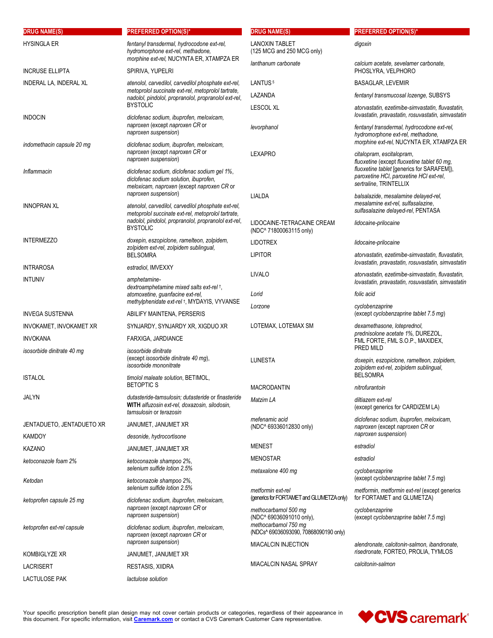| HYSINGLA ER<br>fentanyl transdermal, hydrocodone ext-rel,<br><b>LANOXIN TABLET</b><br>digoxin<br>hydromorphone ext-rel, methadone,<br>(125 MCG and 250 MCG only)<br>morphine ext-rel, NUCYNTA ER, XTAMPZA ER<br>lanthanum carbonate<br>calcium acetate, sevelamer carbonate,<br><b>INCRUSE ELLIPTA</b><br>PHOSLYRA, VELPHORO<br>SPIRIVA, YUPELRI<br>LANTUS <sup>5</sup><br>INDERAL LA, INDERAL XL<br>atenolol, carvedilol, carvedilol phosphate ext-rel,<br><b>BASAGLAR, LEVEMIR</b><br>metoprolol succinate ext-rel, metoprolol tartrate,<br>LAZANDA<br>fentanyl transmucosal lozenge, SUBSYS<br>nadolol, pindolol, propranolol, propranolol ext-rel,<br><b>BYSTOLIC</b><br><b>LESCOL XL</b><br>atorvastatin, ezetimibe-simvastatin, fluvastatin,<br>lovastatin, pravastatin, rosuvastatin, simvastatin<br><b>INDOCIN</b><br>diclofenac sodium, ibuprofen, meloxicam,<br>naproxen (except naproxen CR or<br>fentanyl transdermal, hydrocodone ext-rel,<br>levorphanol<br>naproxen suspension)<br>hydromorphone ext-rel, methadone,<br>morphine ext-rel, NUCYNTA ER, XTAMPZA ER<br>diclofenac sodium, ibuprofen, meloxicam,<br>indomethacin capsule 20 mg<br>naproxen (except naproxen CR or<br><b>LEXAPRO</b><br>citalopram, escitalopram,<br>naproxen suspension)<br>fluoxetine (except fluoxetine tablet 60 mg,<br>fluoxetine tablet [generics for SARAFEM]),<br>Inflammacin<br>diclofenac sodium, diclofenac sodium gel 1%,<br>paroxetine HCI, paroxetine HCI ext-rel,<br>diclofenac sodium solution, ibuprofen,<br>sertraline, TRINTELLIX<br>meloxicam, naproxen (except naproxen CR or<br>naproxen suspension)<br>LIALDA<br>balsalazide, mesalamine delayed-rel,<br>mesalamine ext-rel, sulfasalazine,<br><b>INNOPRAN XL</b><br>atenolol, carvedilol, carvedilol phosphate ext-rel,<br>sulfasalazine delayed-rel, PENTASA<br>metoprolol succinate ext-rel, metoprolol tartrate,<br>nadolol, pindolol, propranolol, propranolol ext-rel,<br>LIDOCAINE-TETRACAINE CREAM<br>lidocaine-prilocaine<br><b>BYSTOLIC</b><br>(NDC^ 71800063115 only)<br><b>INTERMEZZO</b><br>doxepin, eszopiclone, ramelteon, zolpidem,<br><b>LIDOTREX</b><br>lidocaine-prilocaine<br>zolpidem ext-rel, zolpidem sublingual,<br><b>LIPITOR</b><br><b>BELSOMRA</b><br>atorvastatin, ezetimibe-simvastatin, fluvastatin,<br>lovastatin, pravastatin, rosuvastatin, simvastatin<br><b>INTRAROSA</b><br>estradiol, IMVEXXY<br>LIVALO<br>atorvastatin, ezetimibe-simvastatin, fluvastatin,<br><b>INTUNIV</b><br>amphetamine-<br>lovastatin, pravastatin, rosuvastatin, simvastatin<br>dextroamphetamine mixed salts ext-rel +,<br>atomoxetine, guanfacine ext-rel,<br>Lorid<br>folic acid<br>methylphenidate ext-rel +, MYDAYIS, VYVANSE<br>cyclobenzaprine<br>Lorzone<br>(except cyclobenzaprine tablet 7.5 mg)<br><b>INVEGA SUSTENNA</b><br>ABILIFY MAINTENA, PERSERIS<br>LOTEMAX, LOTEMAX SM<br>dexamethasone, loteprednol,<br>INVOKAMET, INVOKAMET XR<br>SYNJARDY, SYNJARDY XR, XIGDUO XR<br>prednisolone acetate 1%, DUREZOL,<br><b>INVOKANA</b><br>FARXIGA, JARDIANCE<br>FML FORTE, FML S.O.P., MAXIDEX,<br>PRED MILD<br>isosorbide dinitrate 40 mg<br>isosorbide dinitrate<br>(except isosorbide dinitrate 40 mg),<br><b>LUNESTA</b><br>doxepin, eszopiclone, ramelteon, zolpidem,<br>isosorbide mononitrate<br>zolpidem ext-rel, zolpidem sublingual,<br><b>BELSOMRA</b><br>ISTALOL<br>timolol maleate solution, BETIMOL,<br><b>BETOPTICS</b><br><b>MACRODANTIN</b><br>nitrofurantoin<br><b>JALYN</b><br>dutasteride-tamsulosin; dutasteride or finasteride<br>Matzim LA<br>diltiazem ext-rel<br>WITH alfuzosin ext-rel, doxazosin, silodosin,<br>(except generics for CARDIZEM LA)<br>tamsulosin or terazosin<br>diclofenac sodium, ibuprofen, meloxicam,<br>mefenamic acid<br>JENTADUETO, JENTADUETO XR<br>JANUMET, JANUMET XR<br>(NDC <sup>^</sup> 69336012830 only)<br>naproxen (except naproxen CR or<br>naproxen suspension)<br>KAMDOY<br>desonide, hydrocortisone<br><b>MENEST</b><br>estradiol<br>KAZANO<br>JANUMET, JANUMET XR<br>MENOSTAR<br>estradiol<br>ketoconazole foam 2%<br>ketoconazole shampoo 2%,<br>selenium sulfide lotion 2.5%<br>metaxalone 400 mg<br>cyclobenzaprine<br>(except cyclobenzaprine tablet 7.5 mg)<br>ketoconazole shampoo 2%,<br>Ketodan<br>selenium sulfide lotion 2.5%<br>metformin ext-rel<br>metformin, metformin ext-rel (except generics<br>(generics for FORTAMET and GLUMETZA only)<br>for FORTAMET and GLUMETZA)<br>ketoprofen capsule 25 mg<br>diclofenac sodium, ibuprofen, meloxicam,<br>naproxen (except naproxen CR or<br>methocarbamol 500 mg<br>cyclobenzaprine<br>naproxen suspension)<br>(NDC^ 69036091010 only),<br>(except cyclobenzaprine tablet 7.5 mg)<br>methocarbamol 750 mg<br>diclofenac sodium, ibuprofen, meloxicam,<br>ketoprofen ext-rel capsule<br>(NDCs^ 69036093090, 70868090190 only)<br>naproxen (except naproxen CR or<br>naproxen suspension)<br><b>MIACALCIN INJECTION</b><br>alendronate, calcitonin-salmon, ibandronate,<br>risedronate, FORTEO, PROLIA, TYMLOS<br><b>KOMBIGLYZE XR</b><br>JANUMET, JANUMET XR<br><b>MIACALCIN NASAL SPRAY</b><br>calcitonin-salmon<br><b>LACRISERT</b><br>RESTASIS, XIIDRA<br>lactulose solution | <b>DRUG NAME(S)</b>  | <b>PREFERRED OPTION(S)*</b> | <b>DRUG NAME(S)</b> | <b>PREFERRED OPTION(S)*</b> |
|-------------------------------------------------------------------------------------------------------------------------------------------------------------------------------------------------------------------------------------------------------------------------------------------------------------------------------------------------------------------------------------------------------------------------------------------------------------------------------------------------------------------------------------------------------------------------------------------------------------------------------------------------------------------------------------------------------------------------------------------------------------------------------------------------------------------------------------------------------------------------------------------------------------------------------------------------------------------------------------------------------------------------------------------------------------------------------------------------------------------------------------------------------------------------------------------------------------------------------------------------------------------------------------------------------------------------------------------------------------------------------------------------------------------------------------------------------------------------------------------------------------------------------------------------------------------------------------------------------------------------------------------------------------------------------------------------------------------------------------------------------------------------------------------------------------------------------------------------------------------------------------------------------------------------------------------------------------------------------------------------------------------------------------------------------------------------------------------------------------------------------------------------------------------------------------------------------------------------------------------------------------------------------------------------------------------------------------------------------------------------------------------------------------------------------------------------------------------------------------------------------------------------------------------------------------------------------------------------------------------------------------------------------------------------------------------------------------------------------------------------------------------------------------------------------------------------------------------------------------------------------------------------------------------------------------------------------------------------------------------------------------------------------------------------------------------------------------------------------------------------------------------------------------------------------------------------------------------------------------------------------------------------------------------------------------------------------------------------------------------------------------------------------------------------------------------------------------------------------------------------------------------------------------------------------------------------------------------------------------------------------------------------------------------------------------------------------------------------------------------------------------------------------------------------------------------------------------------------------------------------------------------------------------------------------------------------------------------------------------------------------------------------------------------------------------------------------------------------------------------------------------------------------------------------------------------------------------------------------------------------------------------------------------------------------------------------------------------------------------------------------------------------------------------------------------------------------------------------------------------------------------------------------------------------------------------------------------------------------------------------------------------------------------------------------------------------------------------------------------------------------------------------------------------------------------------------------------------------------------------------------------------------------------------------------------------------------------------------------------------------------------------------------------------------------------------------------------------------------------------------------------------------------------------------------------------------|----------------------|-----------------------------|---------------------|-----------------------------|
|                                                                                                                                                                                                                                                                                                                                                                                                                                                                                                                                                                                                                                                                                                                                                                                                                                                                                                                                                                                                                                                                                                                                                                                                                                                                                                                                                                                                                                                                                                                                                                                                                                                                                                                                                                                                                                                                                                                                                                                                                                                                                                                                                                                                                                                                                                                                                                                                                                                                                                                                                                                                                                                                                                                                                                                                                                                                                                                                                                                                                                                                                                                                                                                                                                                                                                                                                                                                                                                                                                                                                                                                                                                                                                                                                                                                                                                                                                                                                                                                                                                                                                                                                                                                                                                                                                                                                                                                                                                                                                                                                                                                                                                                                                                                                                                                                                                                                                                                                                                                                                                                                                                                                                                                 |                      |                             |                     |                             |
|                                                                                                                                                                                                                                                                                                                                                                                                                                                                                                                                                                                                                                                                                                                                                                                                                                                                                                                                                                                                                                                                                                                                                                                                                                                                                                                                                                                                                                                                                                                                                                                                                                                                                                                                                                                                                                                                                                                                                                                                                                                                                                                                                                                                                                                                                                                                                                                                                                                                                                                                                                                                                                                                                                                                                                                                                                                                                                                                                                                                                                                                                                                                                                                                                                                                                                                                                                                                                                                                                                                                                                                                                                                                                                                                                                                                                                                                                                                                                                                                                                                                                                                                                                                                                                                                                                                                                                                                                                                                                                                                                                                                                                                                                                                                                                                                                                                                                                                                                                                                                                                                                                                                                                                                 |                      |                             |                     |                             |
|                                                                                                                                                                                                                                                                                                                                                                                                                                                                                                                                                                                                                                                                                                                                                                                                                                                                                                                                                                                                                                                                                                                                                                                                                                                                                                                                                                                                                                                                                                                                                                                                                                                                                                                                                                                                                                                                                                                                                                                                                                                                                                                                                                                                                                                                                                                                                                                                                                                                                                                                                                                                                                                                                                                                                                                                                                                                                                                                                                                                                                                                                                                                                                                                                                                                                                                                                                                                                                                                                                                                                                                                                                                                                                                                                                                                                                                                                                                                                                                                                                                                                                                                                                                                                                                                                                                                                                                                                                                                                                                                                                                                                                                                                                                                                                                                                                                                                                                                                                                                                                                                                                                                                                                                 |                      |                             |                     |                             |
|                                                                                                                                                                                                                                                                                                                                                                                                                                                                                                                                                                                                                                                                                                                                                                                                                                                                                                                                                                                                                                                                                                                                                                                                                                                                                                                                                                                                                                                                                                                                                                                                                                                                                                                                                                                                                                                                                                                                                                                                                                                                                                                                                                                                                                                                                                                                                                                                                                                                                                                                                                                                                                                                                                                                                                                                                                                                                                                                                                                                                                                                                                                                                                                                                                                                                                                                                                                                                                                                                                                                                                                                                                                                                                                                                                                                                                                                                                                                                                                                                                                                                                                                                                                                                                                                                                                                                                                                                                                                                                                                                                                                                                                                                                                                                                                                                                                                                                                                                                                                                                                                                                                                                                                                 |                      |                             |                     |                             |
|                                                                                                                                                                                                                                                                                                                                                                                                                                                                                                                                                                                                                                                                                                                                                                                                                                                                                                                                                                                                                                                                                                                                                                                                                                                                                                                                                                                                                                                                                                                                                                                                                                                                                                                                                                                                                                                                                                                                                                                                                                                                                                                                                                                                                                                                                                                                                                                                                                                                                                                                                                                                                                                                                                                                                                                                                                                                                                                                                                                                                                                                                                                                                                                                                                                                                                                                                                                                                                                                                                                                                                                                                                                                                                                                                                                                                                                                                                                                                                                                                                                                                                                                                                                                                                                                                                                                                                                                                                                                                                                                                                                                                                                                                                                                                                                                                                                                                                                                                                                                                                                                                                                                                                                                 |                      |                             |                     |                             |
|                                                                                                                                                                                                                                                                                                                                                                                                                                                                                                                                                                                                                                                                                                                                                                                                                                                                                                                                                                                                                                                                                                                                                                                                                                                                                                                                                                                                                                                                                                                                                                                                                                                                                                                                                                                                                                                                                                                                                                                                                                                                                                                                                                                                                                                                                                                                                                                                                                                                                                                                                                                                                                                                                                                                                                                                                                                                                                                                                                                                                                                                                                                                                                                                                                                                                                                                                                                                                                                                                                                                                                                                                                                                                                                                                                                                                                                                                                                                                                                                                                                                                                                                                                                                                                                                                                                                                                                                                                                                                                                                                                                                                                                                                                                                                                                                                                                                                                                                                                                                                                                                                                                                                                                                 |                      |                             |                     |                             |
|                                                                                                                                                                                                                                                                                                                                                                                                                                                                                                                                                                                                                                                                                                                                                                                                                                                                                                                                                                                                                                                                                                                                                                                                                                                                                                                                                                                                                                                                                                                                                                                                                                                                                                                                                                                                                                                                                                                                                                                                                                                                                                                                                                                                                                                                                                                                                                                                                                                                                                                                                                                                                                                                                                                                                                                                                                                                                                                                                                                                                                                                                                                                                                                                                                                                                                                                                                                                                                                                                                                                                                                                                                                                                                                                                                                                                                                                                                                                                                                                                                                                                                                                                                                                                                                                                                                                                                                                                                                                                                                                                                                                                                                                                                                                                                                                                                                                                                                                                                                                                                                                                                                                                                                                 |                      |                             |                     |                             |
|                                                                                                                                                                                                                                                                                                                                                                                                                                                                                                                                                                                                                                                                                                                                                                                                                                                                                                                                                                                                                                                                                                                                                                                                                                                                                                                                                                                                                                                                                                                                                                                                                                                                                                                                                                                                                                                                                                                                                                                                                                                                                                                                                                                                                                                                                                                                                                                                                                                                                                                                                                                                                                                                                                                                                                                                                                                                                                                                                                                                                                                                                                                                                                                                                                                                                                                                                                                                                                                                                                                                                                                                                                                                                                                                                                                                                                                                                                                                                                                                                                                                                                                                                                                                                                                                                                                                                                                                                                                                                                                                                                                                                                                                                                                                                                                                                                                                                                                                                                                                                                                                                                                                                                                                 |                      |                             |                     |                             |
|                                                                                                                                                                                                                                                                                                                                                                                                                                                                                                                                                                                                                                                                                                                                                                                                                                                                                                                                                                                                                                                                                                                                                                                                                                                                                                                                                                                                                                                                                                                                                                                                                                                                                                                                                                                                                                                                                                                                                                                                                                                                                                                                                                                                                                                                                                                                                                                                                                                                                                                                                                                                                                                                                                                                                                                                                                                                                                                                                                                                                                                                                                                                                                                                                                                                                                                                                                                                                                                                                                                                                                                                                                                                                                                                                                                                                                                                                                                                                                                                                                                                                                                                                                                                                                                                                                                                                                                                                                                                                                                                                                                                                                                                                                                                                                                                                                                                                                                                                                                                                                                                                                                                                                                                 |                      |                             |                     |                             |
|                                                                                                                                                                                                                                                                                                                                                                                                                                                                                                                                                                                                                                                                                                                                                                                                                                                                                                                                                                                                                                                                                                                                                                                                                                                                                                                                                                                                                                                                                                                                                                                                                                                                                                                                                                                                                                                                                                                                                                                                                                                                                                                                                                                                                                                                                                                                                                                                                                                                                                                                                                                                                                                                                                                                                                                                                                                                                                                                                                                                                                                                                                                                                                                                                                                                                                                                                                                                                                                                                                                                                                                                                                                                                                                                                                                                                                                                                                                                                                                                                                                                                                                                                                                                                                                                                                                                                                                                                                                                                                                                                                                                                                                                                                                                                                                                                                                                                                                                                                                                                                                                                                                                                                                                 |                      |                             |                     |                             |
|                                                                                                                                                                                                                                                                                                                                                                                                                                                                                                                                                                                                                                                                                                                                                                                                                                                                                                                                                                                                                                                                                                                                                                                                                                                                                                                                                                                                                                                                                                                                                                                                                                                                                                                                                                                                                                                                                                                                                                                                                                                                                                                                                                                                                                                                                                                                                                                                                                                                                                                                                                                                                                                                                                                                                                                                                                                                                                                                                                                                                                                                                                                                                                                                                                                                                                                                                                                                                                                                                                                                                                                                                                                                                                                                                                                                                                                                                                                                                                                                                                                                                                                                                                                                                                                                                                                                                                                                                                                                                                                                                                                                                                                                                                                                                                                                                                                                                                                                                                                                                                                                                                                                                                                                 |                      |                             |                     |                             |
|                                                                                                                                                                                                                                                                                                                                                                                                                                                                                                                                                                                                                                                                                                                                                                                                                                                                                                                                                                                                                                                                                                                                                                                                                                                                                                                                                                                                                                                                                                                                                                                                                                                                                                                                                                                                                                                                                                                                                                                                                                                                                                                                                                                                                                                                                                                                                                                                                                                                                                                                                                                                                                                                                                                                                                                                                                                                                                                                                                                                                                                                                                                                                                                                                                                                                                                                                                                                                                                                                                                                                                                                                                                                                                                                                                                                                                                                                                                                                                                                                                                                                                                                                                                                                                                                                                                                                                                                                                                                                                                                                                                                                                                                                                                                                                                                                                                                                                                                                                                                                                                                                                                                                                                                 |                      |                             |                     |                             |
|                                                                                                                                                                                                                                                                                                                                                                                                                                                                                                                                                                                                                                                                                                                                                                                                                                                                                                                                                                                                                                                                                                                                                                                                                                                                                                                                                                                                                                                                                                                                                                                                                                                                                                                                                                                                                                                                                                                                                                                                                                                                                                                                                                                                                                                                                                                                                                                                                                                                                                                                                                                                                                                                                                                                                                                                                                                                                                                                                                                                                                                                                                                                                                                                                                                                                                                                                                                                                                                                                                                                                                                                                                                                                                                                                                                                                                                                                                                                                                                                                                                                                                                                                                                                                                                                                                                                                                                                                                                                                                                                                                                                                                                                                                                                                                                                                                                                                                                                                                                                                                                                                                                                                                                                 |                      |                             |                     |                             |
|                                                                                                                                                                                                                                                                                                                                                                                                                                                                                                                                                                                                                                                                                                                                                                                                                                                                                                                                                                                                                                                                                                                                                                                                                                                                                                                                                                                                                                                                                                                                                                                                                                                                                                                                                                                                                                                                                                                                                                                                                                                                                                                                                                                                                                                                                                                                                                                                                                                                                                                                                                                                                                                                                                                                                                                                                                                                                                                                                                                                                                                                                                                                                                                                                                                                                                                                                                                                                                                                                                                                                                                                                                                                                                                                                                                                                                                                                                                                                                                                                                                                                                                                                                                                                                                                                                                                                                                                                                                                                                                                                                                                                                                                                                                                                                                                                                                                                                                                                                                                                                                                                                                                                                                                 |                      |                             |                     |                             |
|                                                                                                                                                                                                                                                                                                                                                                                                                                                                                                                                                                                                                                                                                                                                                                                                                                                                                                                                                                                                                                                                                                                                                                                                                                                                                                                                                                                                                                                                                                                                                                                                                                                                                                                                                                                                                                                                                                                                                                                                                                                                                                                                                                                                                                                                                                                                                                                                                                                                                                                                                                                                                                                                                                                                                                                                                                                                                                                                                                                                                                                                                                                                                                                                                                                                                                                                                                                                                                                                                                                                                                                                                                                                                                                                                                                                                                                                                                                                                                                                                                                                                                                                                                                                                                                                                                                                                                                                                                                                                                                                                                                                                                                                                                                                                                                                                                                                                                                                                                                                                                                                                                                                                                                                 |                      |                             |                     |                             |
|                                                                                                                                                                                                                                                                                                                                                                                                                                                                                                                                                                                                                                                                                                                                                                                                                                                                                                                                                                                                                                                                                                                                                                                                                                                                                                                                                                                                                                                                                                                                                                                                                                                                                                                                                                                                                                                                                                                                                                                                                                                                                                                                                                                                                                                                                                                                                                                                                                                                                                                                                                                                                                                                                                                                                                                                                                                                                                                                                                                                                                                                                                                                                                                                                                                                                                                                                                                                                                                                                                                                                                                                                                                                                                                                                                                                                                                                                                                                                                                                                                                                                                                                                                                                                                                                                                                                                                                                                                                                                                                                                                                                                                                                                                                                                                                                                                                                                                                                                                                                                                                                                                                                                                                                 |                      |                             |                     |                             |
|                                                                                                                                                                                                                                                                                                                                                                                                                                                                                                                                                                                                                                                                                                                                                                                                                                                                                                                                                                                                                                                                                                                                                                                                                                                                                                                                                                                                                                                                                                                                                                                                                                                                                                                                                                                                                                                                                                                                                                                                                                                                                                                                                                                                                                                                                                                                                                                                                                                                                                                                                                                                                                                                                                                                                                                                                                                                                                                                                                                                                                                                                                                                                                                                                                                                                                                                                                                                                                                                                                                                                                                                                                                                                                                                                                                                                                                                                                                                                                                                                                                                                                                                                                                                                                                                                                                                                                                                                                                                                                                                                                                                                                                                                                                                                                                                                                                                                                                                                                                                                                                                                                                                                                                                 |                      |                             |                     |                             |
|                                                                                                                                                                                                                                                                                                                                                                                                                                                                                                                                                                                                                                                                                                                                                                                                                                                                                                                                                                                                                                                                                                                                                                                                                                                                                                                                                                                                                                                                                                                                                                                                                                                                                                                                                                                                                                                                                                                                                                                                                                                                                                                                                                                                                                                                                                                                                                                                                                                                                                                                                                                                                                                                                                                                                                                                                                                                                                                                                                                                                                                                                                                                                                                                                                                                                                                                                                                                                                                                                                                                                                                                                                                                                                                                                                                                                                                                                                                                                                                                                                                                                                                                                                                                                                                                                                                                                                                                                                                                                                                                                                                                                                                                                                                                                                                                                                                                                                                                                                                                                                                                                                                                                                                                 |                      |                             |                     |                             |
|                                                                                                                                                                                                                                                                                                                                                                                                                                                                                                                                                                                                                                                                                                                                                                                                                                                                                                                                                                                                                                                                                                                                                                                                                                                                                                                                                                                                                                                                                                                                                                                                                                                                                                                                                                                                                                                                                                                                                                                                                                                                                                                                                                                                                                                                                                                                                                                                                                                                                                                                                                                                                                                                                                                                                                                                                                                                                                                                                                                                                                                                                                                                                                                                                                                                                                                                                                                                                                                                                                                                                                                                                                                                                                                                                                                                                                                                                                                                                                                                                                                                                                                                                                                                                                                                                                                                                                                                                                                                                                                                                                                                                                                                                                                                                                                                                                                                                                                                                                                                                                                                                                                                                                                                 |                      |                             |                     |                             |
|                                                                                                                                                                                                                                                                                                                                                                                                                                                                                                                                                                                                                                                                                                                                                                                                                                                                                                                                                                                                                                                                                                                                                                                                                                                                                                                                                                                                                                                                                                                                                                                                                                                                                                                                                                                                                                                                                                                                                                                                                                                                                                                                                                                                                                                                                                                                                                                                                                                                                                                                                                                                                                                                                                                                                                                                                                                                                                                                                                                                                                                                                                                                                                                                                                                                                                                                                                                                                                                                                                                                                                                                                                                                                                                                                                                                                                                                                                                                                                                                                                                                                                                                                                                                                                                                                                                                                                                                                                                                                                                                                                                                                                                                                                                                                                                                                                                                                                                                                                                                                                                                                                                                                                                                 |                      |                             |                     |                             |
|                                                                                                                                                                                                                                                                                                                                                                                                                                                                                                                                                                                                                                                                                                                                                                                                                                                                                                                                                                                                                                                                                                                                                                                                                                                                                                                                                                                                                                                                                                                                                                                                                                                                                                                                                                                                                                                                                                                                                                                                                                                                                                                                                                                                                                                                                                                                                                                                                                                                                                                                                                                                                                                                                                                                                                                                                                                                                                                                                                                                                                                                                                                                                                                                                                                                                                                                                                                                                                                                                                                                                                                                                                                                                                                                                                                                                                                                                                                                                                                                                                                                                                                                                                                                                                                                                                                                                                                                                                                                                                                                                                                                                                                                                                                                                                                                                                                                                                                                                                                                                                                                                                                                                                                                 |                      |                             |                     |                             |
|                                                                                                                                                                                                                                                                                                                                                                                                                                                                                                                                                                                                                                                                                                                                                                                                                                                                                                                                                                                                                                                                                                                                                                                                                                                                                                                                                                                                                                                                                                                                                                                                                                                                                                                                                                                                                                                                                                                                                                                                                                                                                                                                                                                                                                                                                                                                                                                                                                                                                                                                                                                                                                                                                                                                                                                                                                                                                                                                                                                                                                                                                                                                                                                                                                                                                                                                                                                                                                                                                                                                                                                                                                                                                                                                                                                                                                                                                                                                                                                                                                                                                                                                                                                                                                                                                                                                                                                                                                                                                                                                                                                                                                                                                                                                                                                                                                                                                                                                                                                                                                                                                                                                                                                                 |                      |                             |                     |                             |
|                                                                                                                                                                                                                                                                                                                                                                                                                                                                                                                                                                                                                                                                                                                                                                                                                                                                                                                                                                                                                                                                                                                                                                                                                                                                                                                                                                                                                                                                                                                                                                                                                                                                                                                                                                                                                                                                                                                                                                                                                                                                                                                                                                                                                                                                                                                                                                                                                                                                                                                                                                                                                                                                                                                                                                                                                                                                                                                                                                                                                                                                                                                                                                                                                                                                                                                                                                                                                                                                                                                                                                                                                                                                                                                                                                                                                                                                                                                                                                                                                                                                                                                                                                                                                                                                                                                                                                                                                                                                                                                                                                                                                                                                                                                                                                                                                                                                                                                                                                                                                                                                                                                                                                                                 |                      |                             |                     |                             |
|                                                                                                                                                                                                                                                                                                                                                                                                                                                                                                                                                                                                                                                                                                                                                                                                                                                                                                                                                                                                                                                                                                                                                                                                                                                                                                                                                                                                                                                                                                                                                                                                                                                                                                                                                                                                                                                                                                                                                                                                                                                                                                                                                                                                                                                                                                                                                                                                                                                                                                                                                                                                                                                                                                                                                                                                                                                                                                                                                                                                                                                                                                                                                                                                                                                                                                                                                                                                                                                                                                                                                                                                                                                                                                                                                                                                                                                                                                                                                                                                                                                                                                                                                                                                                                                                                                                                                                                                                                                                                                                                                                                                                                                                                                                                                                                                                                                                                                                                                                                                                                                                                                                                                                                                 |                      |                             |                     |                             |
|                                                                                                                                                                                                                                                                                                                                                                                                                                                                                                                                                                                                                                                                                                                                                                                                                                                                                                                                                                                                                                                                                                                                                                                                                                                                                                                                                                                                                                                                                                                                                                                                                                                                                                                                                                                                                                                                                                                                                                                                                                                                                                                                                                                                                                                                                                                                                                                                                                                                                                                                                                                                                                                                                                                                                                                                                                                                                                                                                                                                                                                                                                                                                                                                                                                                                                                                                                                                                                                                                                                                                                                                                                                                                                                                                                                                                                                                                                                                                                                                                                                                                                                                                                                                                                                                                                                                                                                                                                                                                                                                                                                                                                                                                                                                                                                                                                                                                                                                                                                                                                                                                                                                                                                                 |                      |                             |                     |                             |
|                                                                                                                                                                                                                                                                                                                                                                                                                                                                                                                                                                                                                                                                                                                                                                                                                                                                                                                                                                                                                                                                                                                                                                                                                                                                                                                                                                                                                                                                                                                                                                                                                                                                                                                                                                                                                                                                                                                                                                                                                                                                                                                                                                                                                                                                                                                                                                                                                                                                                                                                                                                                                                                                                                                                                                                                                                                                                                                                                                                                                                                                                                                                                                                                                                                                                                                                                                                                                                                                                                                                                                                                                                                                                                                                                                                                                                                                                                                                                                                                                                                                                                                                                                                                                                                                                                                                                                                                                                                                                                                                                                                                                                                                                                                                                                                                                                                                                                                                                                                                                                                                                                                                                                                                 |                      |                             |                     |                             |
|                                                                                                                                                                                                                                                                                                                                                                                                                                                                                                                                                                                                                                                                                                                                                                                                                                                                                                                                                                                                                                                                                                                                                                                                                                                                                                                                                                                                                                                                                                                                                                                                                                                                                                                                                                                                                                                                                                                                                                                                                                                                                                                                                                                                                                                                                                                                                                                                                                                                                                                                                                                                                                                                                                                                                                                                                                                                                                                                                                                                                                                                                                                                                                                                                                                                                                                                                                                                                                                                                                                                                                                                                                                                                                                                                                                                                                                                                                                                                                                                                                                                                                                                                                                                                                                                                                                                                                                                                                                                                                                                                                                                                                                                                                                                                                                                                                                                                                                                                                                                                                                                                                                                                                                                 |                      |                             |                     |                             |
|                                                                                                                                                                                                                                                                                                                                                                                                                                                                                                                                                                                                                                                                                                                                                                                                                                                                                                                                                                                                                                                                                                                                                                                                                                                                                                                                                                                                                                                                                                                                                                                                                                                                                                                                                                                                                                                                                                                                                                                                                                                                                                                                                                                                                                                                                                                                                                                                                                                                                                                                                                                                                                                                                                                                                                                                                                                                                                                                                                                                                                                                                                                                                                                                                                                                                                                                                                                                                                                                                                                                                                                                                                                                                                                                                                                                                                                                                                                                                                                                                                                                                                                                                                                                                                                                                                                                                                                                                                                                                                                                                                                                                                                                                                                                                                                                                                                                                                                                                                                                                                                                                                                                                                                                 |                      |                             |                     |                             |
|                                                                                                                                                                                                                                                                                                                                                                                                                                                                                                                                                                                                                                                                                                                                                                                                                                                                                                                                                                                                                                                                                                                                                                                                                                                                                                                                                                                                                                                                                                                                                                                                                                                                                                                                                                                                                                                                                                                                                                                                                                                                                                                                                                                                                                                                                                                                                                                                                                                                                                                                                                                                                                                                                                                                                                                                                                                                                                                                                                                                                                                                                                                                                                                                                                                                                                                                                                                                                                                                                                                                                                                                                                                                                                                                                                                                                                                                                                                                                                                                                                                                                                                                                                                                                                                                                                                                                                                                                                                                                                                                                                                                                                                                                                                                                                                                                                                                                                                                                                                                                                                                                                                                                                                                 |                      |                             |                     |                             |
|                                                                                                                                                                                                                                                                                                                                                                                                                                                                                                                                                                                                                                                                                                                                                                                                                                                                                                                                                                                                                                                                                                                                                                                                                                                                                                                                                                                                                                                                                                                                                                                                                                                                                                                                                                                                                                                                                                                                                                                                                                                                                                                                                                                                                                                                                                                                                                                                                                                                                                                                                                                                                                                                                                                                                                                                                                                                                                                                                                                                                                                                                                                                                                                                                                                                                                                                                                                                                                                                                                                                                                                                                                                                                                                                                                                                                                                                                                                                                                                                                                                                                                                                                                                                                                                                                                                                                                                                                                                                                                                                                                                                                                                                                                                                                                                                                                                                                                                                                                                                                                                                                                                                                                                                 |                      |                             |                     |                             |
|                                                                                                                                                                                                                                                                                                                                                                                                                                                                                                                                                                                                                                                                                                                                                                                                                                                                                                                                                                                                                                                                                                                                                                                                                                                                                                                                                                                                                                                                                                                                                                                                                                                                                                                                                                                                                                                                                                                                                                                                                                                                                                                                                                                                                                                                                                                                                                                                                                                                                                                                                                                                                                                                                                                                                                                                                                                                                                                                                                                                                                                                                                                                                                                                                                                                                                                                                                                                                                                                                                                                                                                                                                                                                                                                                                                                                                                                                                                                                                                                                                                                                                                                                                                                                                                                                                                                                                                                                                                                                                                                                                                                                                                                                                                                                                                                                                                                                                                                                                                                                                                                                                                                                                                                 |                      |                             |                     |                             |
|                                                                                                                                                                                                                                                                                                                                                                                                                                                                                                                                                                                                                                                                                                                                                                                                                                                                                                                                                                                                                                                                                                                                                                                                                                                                                                                                                                                                                                                                                                                                                                                                                                                                                                                                                                                                                                                                                                                                                                                                                                                                                                                                                                                                                                                                                                                                                                                                                                                                                                                                                                                                                                                                                                                                                                                                                                                                                                                                                                                                                                                                                                                                                                                                                                                                                                                                                                                                                                                                                                                                                                                                                                                                                                                                                                                                                                                                                                                                                                                                                                                                                                                                                                                                                                                                                                                                                                                                                                                                                                                                                                                                                                                                                                                                                                                                                                                                                                                                                                                                                                                                                                                                                                                                 | <b>LACTULOSE PAK</b> |                             |                     |                             |

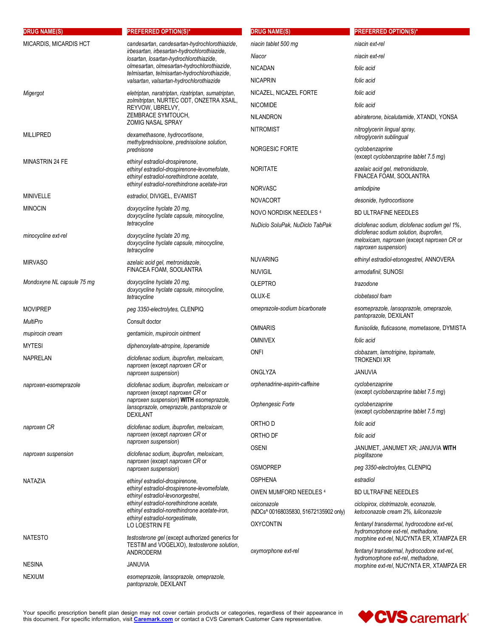| <b>DRUG NAME(S)</b>        | <b>PREFERRED OPTION(S)*</b>                                                                                                                                                                                                                          | <b>DRUG NAME(S)</b>                                  | <b>PREFERRED OPTION(S)*</b>                                                                                                 |
|----------------------------|------------------------------------------------------------------------------------------------------------------------------------------------------------------------------------------------------------------------------------------------------|------------------------------------------------------|-----------------------------------------------------------------------------------------------------------------------------|
| MICARDIS, MICARDIS HCT     | candesartan, candesartan-hydrochlorothiazide,                                                                                                                                                                                                        | niacin tablet 500 mg                                 | niacin ext-rel                                                                                                              |
|                            | irbesartan, irbesartan-hydrochlorothiazide,<br>losartan, losartan-hydrochlorothiazide,                                                                                                                                                               | Niacor                                               | niacin ext-rel                                                                                                              |
|                            | olmesartan, olmesartan-hydrochlorothiazide,                                                                                                                                                                                                          | <b>NICADAN</b>                                       | folic acid                                                                                                                  |
|                            | telmisartan, telmisartan-hydrochlorothiazide,<br>valsartan, valsartan-hydrochlorothiazide                                                                                                                                                            | <b>NICAPRIN</b>                                      | folic acid                                                                                                                  |
| Migergot                   | eletriptan, naratriptan, rizatriptan, sumatriptan,                                                                                                                                                                                                   | NICAZEL, NICAZEL FORTE                               | folic acid                                                                                                                  |
|                            | zolmitriptan, NURTEC ODT, ONZETRA XSAIL,<br>REYVOW, UBRELVY,                                                                                                                                                                                         | <b>NICOMIDE</b>                                      | folic acid                                                                                                                  |
|                            | ZEMBRACE SYMTOUCH,                                                                                                                                                                                                                                   | <b>NILANDRON</b>                                     | abiraterone, bicalutamide, XTANDI, YONSA                                                                                    |
|                            | ZOMIG NASAL SPRAY                                                                                                                                                                                                                                    | <b>NITROMIST</b>                                     | nitroglycerin lingual spray,                                                                                                |
| <b>MILLIPRED</b>           | dexamethasone, hydrocortisone,<br>methylprednisolone, prednisolone solution,                                                                                                                                                                         |                                                      | nitroglycerin sublingual                                                                                                    |
|                            | prednisone                                                                                                                                                                                                                                           | NORGESIC FORTE                                       | cyclobenzaprine<br>(except cyclobenzaprine tablet 7.5 mg)                                                                   |
| MINASTRIN 24 FE            | ethinyl estradiol-drospirenone,<br>ethinyl estradiol-drospirenone-levomefolate,                                                                                                                                                                      | <b>NORITATE</b>                                      | azelaic acid gel, metronidazole,                                                                                            |
|                            | ethinyl estradiol-norethindrone acetate,                                                                                                                                                                                                             |                                                      | FINACEA FOAM, SOOLANTRA                                                                                                     |
|                            | ethinyl estradiol-norethindrone acetate-iron                                                                                                                                                                                                         | <b>NORVASC</b>                                       | amlodipine                                                                                                                  |
| <b>MINIVELLE</b>           | estradiol, DIVIGEL, EVAMIST                                                                                                                                                                                                                          | <b>NOVACORT</b>                                      | desonide, hydrocortisone                                                                                                    |
| <b>MINOCIN</b>             | doxycycline hyclate 20 mg,<br>doxycycline hyclate capsule, minocycline,                                                                                                                                                                              | NOVO NORDISK NEEDLES 4                               | <b>BD ULTRAFINE NEEDLES</b>                                                                                                 |
|                            | tetracycline                                                                                                                                                                                                                                         | NuDiclo SoluPak, NuDiclo TabPak                      | diclofenac sodium, diclofenac sodium gel 1%,                                                                                |
| minocycline ext-rel        | doxycycline hyclate 20 mg,<br>doxycycline hyclate capsule, minocycline,<br>tetracycline                                                                                                                                                              |                                                      | diclofenac sodium solution, ibuprofen,<br>meloxicam, naproxen (except naproxen CR or<br>naproxen suspension)                |
| <b>MIRVASO</b>             | azelaic acid gel, metronidazole,                                                                                                                                                                                                                     | <b>NUVARING</b>                                      | ethinyl estradiol-etonogestrel, ANNOVERA                                                                                    |
|                            | FINACEA FOAM, SOOLANTRA                                                                                                                                                                                                                              | <b>NUVIGIL</b>                                       | armodafinil, SUNOSI                                                                                                         |
| Mondoxyne NL capsule 75 mg | doxycycline hyclate 20 mg,<br>doxycycline hyclate capsule, minocycline,<br>tetracycline                                                                                                                                                              | <b>OLEPTRO</b>                                       | trazodone                                                                                                                   |
|                            |                                                                                                                                                                                                                                                      | OLUX-E                                               | clobetasol foam                                                                                                             |
| <b>MOVIPREP</b>            | peg 3350-electrolytes, CLENPIQ                                                                                                                                                                                                                       | omeprazole-sodium bicarbonate                        | esomeprazole, lansoprazole, omeprazole,<br>pantoprazole, DEXILANT                                                           |
| MultiPro                   | Consult doctor                                                                                                                                                                                                                                       | <b>OMNARIS</b>                                       | flunisolide, fluticasone, mometasone, DYMISTA                                                                               |
| mupirocin cream            | gentamicin, mupirocin ointment                                                                                                                                                                                                                       | <b>OMNIVEX</b>                                       | folic acid                                                                                                                  |
| <b>MYTESI</b>              | diphenoxylate-atropine, loperamide                                                                                                                                                                                                                   | <b>ONFI</b>                                          | clobazam, lamotrigine, topiramate,                                                                                          |
| <b>NAPRELAN</b>            | diclofenac sodium, ibuprofen, meloxicam,<br>naproxen (except naproxen CR or<br>naproxen suspension)                                                                                                                                                  |                                                      | <b>TROKENDI XR</b>                                                                                                          |
|                            |                                                                                                                                                                                                                                                      | ONGLYZA                                              | JANUVIA                                                                                                                     |
| naproxen-esomeprazole      | diclofenac sodium, ibuprofen, meloxicam or<br>naproxen (except naproxen CR or<br>naproxen suspension) WITH esomeprazole,<br>lansoprazole, omeprazole, pantoprazole or<br><b>DEXILANT</b>                                                             | orphenadrine-aspirin-caffeine                        | cyclobenzaprine<br>(except cyclobenzaprine tablet 7.5 mg)                                                                   |
|                            |                                                                                                                                                                                                                                                      | Orphengesic Forte                                    | cyclobenzaprine<br>(except cyclobenzaprine tablet 7.5 mg)                                                                   |
| naproxen CR                | diclofenac sodium, ibuprofen, meloxicam,<br>naproxen (except naproxen CR or<br>naproxen suspension)                                                                                                                                                  | ORTHO D                                              | folic acid                                                                                                                  |
|                            |                                                                                                                                                                                                                                                      | ORTHO DF                                             | folic acid                                                                                                                  |
| naproxen suspension        | diclofenac sodium, ibuprofen, meloxicam,<br>naproxen (except naproxen CR or                                                                                                                                                                          | <b>OSENI</b>                                         | JANUMET, JANUMET XR; JANUVIA WITH<br>pioglitazone                                                                           |
|                            | naproxen suspension)                                                                                                                                                                                                                                 | <b>OSMOPREP</b>                                      | peg 3350-electrolytes, CLENPIQ                                                                                              |
| NATAZIA                    | ethinyl estradiol-drospirenone,<br>ethinyl estradiol-drospirenone-levomefolate,<br>ethinyl estradiol-levonorgestrel,<br>ethinyl estradiol-norethindrone acetate,<br>ethinyl estradiol-norethindrone acetate-iron,<br>ethinyl estradiol-norgestimate, | <b>OSPHENA</b>                                       | estradiol                                                                                                                   |
|                            |                                                                                                                                                                                                                                                      | OWEN MUMFORD NEEDLES 4                               | <b>BD ULTRAFINE NEEDLES</b>                                                                                                 |
|                            |                                                                                                                                                                                                                                                      | oxiconazole<br>(NDCs^ 00168035830, 51672135902 only) | ciclopirox, clotrimazole, econazole,<br>ketoconazole cream 2%, luliconazole                                                 |
| <b>NATESTO</b>             | LO LOESTRIN FE<br>testosterone gel (except authorized generics for                                                                                                                                                                                   | <b>OXYCONTIN</b>                                     | fentanyl transdermal, hydrocodone ext-rel,<br>hydromorphone ext-rel, methadone,<br>morphine ext-rel, NUCYNTA ER, XTAMPZA ER |
|                            | TESTIM and VOGELXO), testosterone solution,<br>ANDRODERM                                                                                                                                                                                             | oxymorphone ext-rel                                  | fentanyl transdermal, hydrocodone ext-rel,                                                                                  |
| <b>NESINA</b>              | <b>JANUVIA</b>                                                                                                                                                                                                                                       |                                                      | hydromorphone ext-rel, methadone,<br>morphine ext-rel, NUCYNTA ER, XTAMPZA ER                                               |
| <b>NEXIUM</b>              | esomeprazole, lansoprazole, omeprazole,<br>pantoprazole, DEXILANT                                                                                                                                                                                    |                                                      |                                                                                                                             |

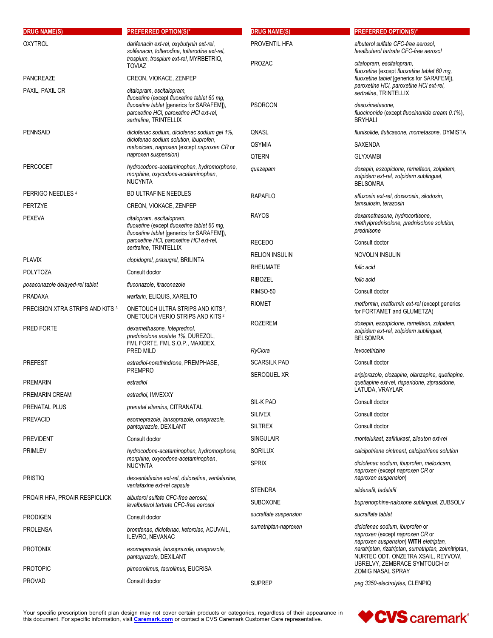| <b>DRUG NAME(S)</b>              | <b>PREFERRED OPTION(S)*</b>                                                                                                          | <b>DRUG NAME(S)</b>   | <b>PREFERRED OPTION(S)*</b>                                                                                                 |
|----------------------------------|--------------------------------------------------------------------------------------------------------------------------------------|-----------------------|-----------------------------------------------------------------------------------------------------------------------------|
| <b>OXYTROL</b>                   | darifenacin ext-rel, oxybutynin ext-rel,<br>solifenacin, tolterodine, tolterodine ext-rel,                                           | PROVENTIL HFA         | albuterol sulfate CFC-free aerosol,<br>levalbuterol tartrate CFC-free aerosol                                               |
|                                  | trospium, trospium ext-rel, MYRBETRIQ,<br><b>TOVIAZ</b>                                                                              | <b>PROZAC</b>         | citalopram, escitalopram,<br>fluoxetine (except fluoxetine tablet 60 mg,                                                    |
| <b>PANCREAZE</b>                 | CREON, VIOKACE, ZENPEP                                                                                                               |                       | fluoxetine tablet [generics for SARAFEM]).                                                                                  |
| PAXIL, PAXIL CR                  | citalopram, escitalopram,<br>fluoxetine (except fluoxetine tablet 60 mg,                                                             |                       | paroxetine HCI, paroxetine HCI ext-rel,<br>sertraline, TRINTELLIX                                                           |
|                                  | fluoxetine tablet [generics for SARAFEM]),<br>paroxetine HCI, paroxetine HCI ext-rel,<br>sertraline, TRINTELLIX                      | <b>PSORCON</b>        | desoximetasone.<br>fluocinonide (except fluocinonide cream 0.1%),<br><b>BRYHALI</b>                                         |
| <b>PENNSAID</b>                  | diclofenac sodium, diclofenac sodium gel 1%,<br>diclofenac sodium solution, ibuprofen,<br>meloxicam, naproxen (except naproxen CR or | QNASL                 | flunisolide, fluticasone, mometasone, DYMISTA                                                                               |
|                                  |                                                                                                                                      | <b>QSYMIA</b>         | SAXENDA                                                                                                                     |
|                                  | naproxen suspension)                                                                                                                 | QTERN                 | <b>GLYXAMBI</b>                                                                                                             |
| <b>PERCOCET</b>                  | hydrocodone-acetaminophen, hydromorphone,<br>morphine, oxycodone-acetaminophen,<br><b>NUCYNTA</b>                                    | quazepam              | doxepin, eszopiclone, ramelteon, zolpidem,<br>zolpidem ext-rel, zolpidem sublingual,<br><b>BELSOMRA</b>                     |
| PERRIGO NEEDLES 4                | <b>BD ULTRAFINE NEEDLES</b>                                                                                                          | <b>RAPAFLO</b>        | alfuzosin ext-rel, doxazosin, silodosin,                                                                                    |
| <b>PERTZYE</b>                   | CREON, VIOKACE, ZENPEP                                                                                                               |                       | tamsulosin, terazosin                                                                                                       |
| <b>PEXEVA</b>                    | citalopram, escitalopram,<br>fluoxetine (except fluoxetine tablet 60 mg,<br>fluoxetine tablet [generics for SARAFEM]),               | <b>RAYOS</b>          | dexamethasone, hydrocortisone,<br>methylprednisolone, prednisolone solution,<br>prednisone                                  |
|                                  | paroxetine HCI, paroxetine HCI ext-rel,<br>sertraline, TRINTELLIX                                                                    | <b>RECEDO</b>         | Consult doctor                                                                                                              |
| <b>PLAVIX</b>                    | clopidogrel, prasugrel, BRILINTA                                                                                                     | <b>RELION INSULIN</b> | NOVOLIN INSULIN                                                                                                             |
| <b>POLYTOZA</b>                  | Consult doctor                                                                                                                       | <b>RHEUMATE</b>       | folic acid                                                                                                                  |
| posaconazole delayed-rel tablet  | fluconazole, itraconazole                                                                                                            | <b>RIBOZEL</b>        | folic acid                                                                                                                  |
| <b>PRADAXA</b>                   | warfarin, ELIQUIS, XARELTO                                                                                                           | RIMSO-50              | Consult doctor                                                                                                              |
| PRECISION XTRA STRIPS AND KITS 3 | ONETOUCH ULTRA STRIPS AND KITS <sup>2</sup> .<br>ONETOUCH VERIO STRIPS AND KITS <sup>2</sup>                                         | <b>RIOMET</b>         | metformin, metformin ext-rel (except generics<br>for FORTAMET and GLUMETZA)                                                 |
| PRED FORTE                       | dexamethasone, loteprednol,<br>prednisolone acetate 1%, DUREZOL,<br>FML FORTE, FML S.O.P., MAXIDEX,                                  | <b>ROZEREM</b>        | doxepin, eszopiclone, ramelteon, zolpidem,<br>zolpidem ext-rel, zolpidem sublingual,<br><b>BELSOMRA</b>                     |
|                                  | PRED MILD                                                                                                                            | RyClora               | levocetirizine                                                                                                              |
| <b>PREFEST</b>                   | estradiol-norethindrone, PREMPHASE,<br><b>PREMPRO</b>                                                                                | <b>SCARSILK PAD</b>   | Consult doctor                                                                                                              |
| <b>PREMARIN</b>                  | estradiol                                                                                                                            | SEROQUEL XR           | aripiprazole, clozapine, olanzapine, quetiapine,<br>quetiapine ext-rel, risperidone, ziprasidone,                           |
| PREMARIN CREAM                   | estradiol, IMVEXXY                                                                                                                   |                       | LATUDA, VRAYLAR                                                                                                             |
| PRENATAL PLUS                    | prenatal vitamins, CITRANATAL                                                                                                        | SIL-K PAD             | Consult doctor                                                                                                              |
| <b>PREVACID</b>                  | esomeprazole, lansoprazole, omeprazole,                                                                                              | <b>SILIVEX</b>        | Consult doctor                                                                                                              |
|                                  | pantoprazole, DEXILANT                                                                                                               | <b>SILTREX</b>        | Consult doctor                                                                                                              |
| <b>PREVIDENT</b>                 | Consult doctor                                                                                                                       | <b>SINGULAIR</b>      | montelukast, zafirlukast, zileuton ext-rel                                                                                  |
| <b>PRIMLEV</b>                   | hydrocodone-acetaminophen, hydromorphone,<br>morphine, oxycodone-acetaminophen,                                                      | <b>SORILUX</b>        | calcipotriene ointment, calcipotriene solution                                                                              |
|                                  | <b>NUCYNTA</b>                                                                                                                       | <b>SPRIX</b>          | diclofenac sodium, ibuprofen, meloxicam,<br>naproxen (except naproxen CR or                                                 |
| <b>PRISTIQ</b>                   | desvenlafaxine ext-rel, duloxetine, venlafaxine,<br>venlafaxine ext-rel capsule                                                      |                       | naproxen suspension)                                                                                                        |
| PROAIR HFA, PROAIR RESPICLICK    | albuterol sulfate CFC-free aerosol.                                                                                                  | <b>STENDRA</b>        | sildenafil, tadalafil                                                                                                       |
|                                  | levalbuterol tartrate CFC-free aerosol                                                                                               | <b>SUBOXONE</b>       | buprenorphine-naloxone sublingual, ZUBSOLV                                                                                  |
| <b>PRODIGEN</b>                  | Consult doctor                                                                                                                       | sucralfate suspension | sucralfate tablet                                                                                                           |
| <b>PROLENSA</b>                  | bromfenac, diclofenac, ketorolac, ACUVAIL,<br>ILEVRO, NEVANAC                                                                        | sumatriptan-naproxen  | diclofenac sodium, ibuprofen or<br>naproxen (except naproxen CR or<br>naproxen suspension) WITH eletriptan,                 |
| <b>PROTONIX</b>                  | esomeprazole, lansoprazole, omeprazole,<br>pantoprazole, DEXILANT                                                                    |                       | naratriptan, rizatriptan, sumatriptan, zolmitriptan,<br>NURTEC ODT, ONZETRA XSAIL, REYVOW,<br>UBRELVY, ZEMBRACE SYMTOUCH or |
| <b>PROTOPIC</b>                  | pimecrolimus, tacrolimus, EUCRISA                                                                                                    |                       | ZOMIG NASAL SPRAY                                                                                                           |
| <b>PROVAD</b>                    | Consult doctor                                                                                                                       | <b>SUPREP</b>         | peg 3350-electrolytes, CLENPIQ                                                                                              |

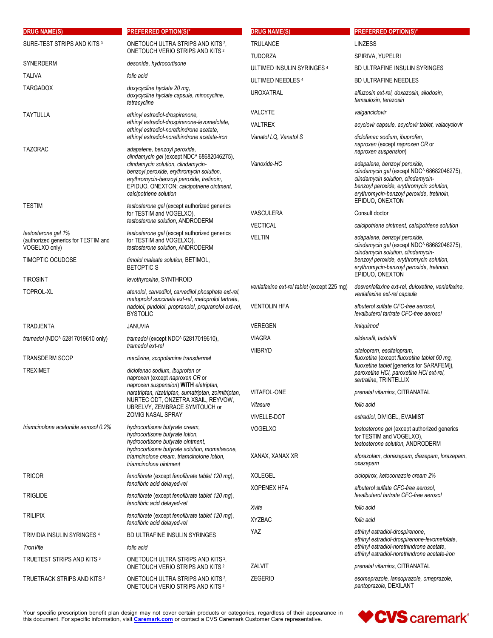| <b>DRUG NAME(S)</b>                                                         | <b>PREFERRED OPTION(S)*</b>                                                                                                                                                                                                                                                     | <b>DRUG NAME(S)</b>                        | <b>PREFERRED OPTION(S)*</b>                                                                                                                                                                                                                                          |
|-----------------------------------------------------------------------------|---------------------------------------------------------------------------------------------------------------------------------------------------------------------------------------------------------------------------------------------------------------------------------|--------------------------------------------|----------------------------------------------------------------------------------------------------------------------------------------------------------------------------------------------------------------------------------------------------------------------|
| SURE-TEST STRIPS AND KITS <sup>3</sup>                                      | ONETOUCH ULTRA STRIPS AND KITS <sup>2</sup> ,                                                                                                                                                                                                                                   | TRULANCE                                   | <b>LINZESS</b>                                                                                                                                                                                                                                                       |
|                                                                             | <b>ONETOUCH VERIO STRIPS AND KITS 2</b>                                                                                                                                                                                                                                         | <b>TUDORZA</b>                             | SPIRIVA, YUPELRI                                                                                                                                                                                                                                                     |
| SYNERDERM                                                                   | desonide, hydrocortisone                                                                                                                                                                                                                                                        | ULTIMED INSULIN SYRINGES 4                 | BD ULTRAFINE INSULIN SYRINGES                                                                                                                                                                                                                                        |
| <b>TALIVA</b>                                                               | folic acid                                                                                                                                                                                                                                                                      | ULTIMED NEEDLES 4                          | <b>BD ULTRAFINE NEEDLES</b>                                                                                                                                                                                                                                          |
| <b>TARGADOX</b>                                                             | doxycycline hyclate 20 mg,<br>doxycycline hyclate capsule, minocycline,<br>tetracycline                                                                                                                                                                                         | <b>UROXATRAL</b>                           | alfuzosin ext-rel, doxazosin, silodosin,<br>tamsulosin, terazosin                                                                                                                                                                                                    |
| <b>TAYTULLA</b>                                                             | ethinyl estradiol-drospirenone,                                                                                                                                                                                                                                                 | VALCYTE                                    | valganciclovir                                                                                                                                                                                                                                                       |
|                                                                             | ethinyl estradiol-drospirenone-levomefolate,<br>ethinyl estradiol-norethindrone acetate,                                                                                                                                                                                        | <b>VALTREX</b>                             | acyclovir capsule, acyclovir tablet, valacyclovir                                                                                                                                                                                                                    |
|                                                                             | ethinyl estradiol-norethindrone acetate-iron                                                                                                                                                                                                                                    | Vanatol LQ, Vanatol S                      | diclofenac sodium, ibuprofen,                                                                                                                                                                                                                                        |
| <b>TAZORAC</b>                                                              | adapalene, benzoyl peroxide,<br>clindamycin gel (except NDC^ 68682046275),<br>clindamycin solution, clindamycin-<br>benzoyl peroxide, erythromycin solution,<br>erythromycin-benzoyl peroxide, tretinoin,<br>EPIDUO, ONEXTON; calcipotriene ointment,<br>calcipotriene solution | Vanoxide-HC                                | naproxen (except naproxen CR or<br>naproxen suspension)<br>adapalene, benzoyl peroxide,<br>clindamycin gel (except NDC^ 68682046275),<br>clindamycin solution, clindamycin-<br>benzoyl peroxide, erythromycin solution,<br>erythromycin-benzoyl peroxide, tretinoin, |
| <b>TESTIM</b>                                                               | testosterone gel (except authorized generics<br>for TESTIM and VOGELXO),                                                                                                                                                                                                        | VASCULERA                                  | EPIDUO, ONEXTON<br>Consult doctor                                                                                                                                                                                                                                    |
|                                                                             | testosterone solution, ANDRODERM                                                                                                                                                                                                                                                | <b>VECTICAL</b>                            | calcipotriene ointment, calcipotriene solution                                                                                                                                                                                                                       |
| testosterone gel 1%<br>(authorized generics for TESTIM and<br>VOGELXO only) | testosterone gel (except authorized generics<br>for TESTIM and VOGELXO),<br>testosterone solution, ANDRODERM                                                                                                                                                                    | <b>VELTIN</b>                              | adapalene, benzoyl peroxide,<br>clindamycin gel (except NDC^ 68682046275),<br>clindamycin solution, clindamycin-                                                                                                                                                     |
| <b>TIMOPTIC OCUDOSE</b>                                                     | timolol maleate solution, BETIMOL,<br><b>BETOPTICS</b>                                                                                                                                                                                                                          |                                            | benzoyl peroxide, erythromycin solution,<br>erythromycin-benzoyl peroxide, tretinoin,                                                                                                                                                                                |
| <b>TIROSINT</b>                                                             | levothyroxine, SYNTHROID                                                                                                                                                                                                                                                        |                                            | EPIDUO, ONEXTON                                                                                                                                                                                                                                                      |
| TOPROL-XL                                                                   | atenolol, carvedilol, carvedilol phosphate ext-rel,<br>metoprolol succinate ext-rel, metoprolol tartrate,<br>nadolol, pindolol, propranolol, propranolol ext-rel,<br><b>BYSTOLIC</b>                                                                                            | venlafaxine ext-rel tablet (except 225 mg) | desvenlafaxine ext-rel, duloxetine, venlafaxine,<br>venlafaxine ext-rel capsule                                                                                                                                                                                      |
|                                                                             |                                                                                                                                                                                                                                                                                 | <b>VENTOLIN HFA</b>                        | albuterol sulfate CFC-free aerosol,<br>levalbuterol tartrate CFC-free aerosol                                                                                                                                                                                        |
| <b>TRADJENTA</b>                                                            | <b>JANUVIA</b>                                                                                                                                                                                                                                                                  | <b>VEREGEN</b>                             | imiquimod                                                                                                                                                                                                                                                            |
| tramadol (NDC^ 52817019610 only)                                            | tramadol (except NDC^ 52817019610),<br>tramadol ext-rel                                                                                                                                                                                                                         | <b>VIAGRA</b>                              | sildenafil, tadalafil                                                                                                                                                                                                                                                |
| <b>TRANSDERM SCOP</b>                                                       | meclizine, scopolamine transdermal                                                                                                                                                                                                                                              | <b>VIIBRYD</b>                             | citalopram, escitalopram,<br>fluoxetine (except fluoxetine tablet 60 mg,                                                                                                                                                                                             |
| <b>TREXIMET</b>                                                             | diclofenac sodium, ibuprofen or<br>naproxen (except naproxen CR or<br>naproxen suspension) WITH eletriptan,                                                                                                                                                                     |                                            | fluoxetine tablet [generics for SARAFEM]).<br>paroxetine HCI, paroxetine HCI ext-rel,<br>sertraline, TRINTELLIX                                                                                                                                                      |
|                                                                             | naratriptan, rizatriptan, sumatriptan, zolmitriptan,                                                                                                                                                                                                                            | VITAFOL-ONE                                | prenatal vitamins, CITRANATAL                                                                                                                                                                                                                                        |
|                                                                             | NURTEC ODT, ONZETRA XSAIL, REYVOW,<br>UBRELVY, ZEMBRACE SYMTOUCH or                                                                                                                                                                                                             | Vitasure                                   | folic acid                                                                                                                                                                                                                                                           |
|                                                                             | <b>ZOMIG NASAL SPRAY</b>                                                                                                                                                                                                                                                        | <b>VIVELLE-DOT</b>                         | estradiol, DIVIGEL, EVAMIST                                                                                                                                                                                                                                          |
| triamcinolone acetonide aerosol 0.2%                                        | hydrocortisone butyrate cream.<br>hydrocortisone butyrate lotion,<br>hydrocortisone butyrate ointment,<br>hydrocortisone butyrate solution, mometasone,                                                                                                                         | <b>VOGELXO</b>                             | testosterone gel (except authorized generics<br>for TESTIM and VOGELXO),<br>testosterone solution, ANDRODERM                                                                                                                                                         |
|                                                                             | triamcinolone cream, triamcinolone lotion,<br>triamcinolone ointment                                                                                                                                                                                                            | XANAX, XANAX XR                            | alprazolam, clonazepam, diazepam, lorazepam,<br>oxazepam                                                                                                                                                                                                             |
| <b>TRICOR</b>                                                               | fenofibrate (except fenofibrate tablet 120 mg),<br>fenofibric acid delayed-rel                                                                                                                                                                                                  | XOLEGEL<br><b>XOPENEX HFA</b>              | ciclopirox, ketoconazole cream 2%<br>albuterol sulfate CFC-free aerosol,                                                                                                                                                                                             |
| <b>TRIGLIDE</b>                                                             | fenofibrate (except fenofibrate tablet 120 mg),<br>fenofibric acid delayed-rel                                                                                                                                                                                                  | Xvite                                      | levalbuterol tartrate CFC-free aerosol<br>folic acid                                                                                                                                                                                                                 |
| <b>TRILIPIX</b>                                                             | fenofibrate (except fenofibrate tablet 120 mg),<br>fenofibric acid delayed-rel                                                                                                                                                                                                  | <b>XYZBAC</b>                              | folic acid                                                                                                                                                                                                                                                           |
| <b>TRIVIDIA INSULIN SYRINGES 4</b>                                          | BD ULTRAFINE INSULIN SYRINGES                                                                                                                                                                                                                                                   | YAZ                                        | ethinyl estradiol-drospirenone,                                                                                                                                                                                                                                      |
| <b>Tron Vite</b>                                                            | folic acid                                                                                                                                                                                                                                                                      |                                            | ethinyl estradiol-drospirenone-levomefolate,<br>ethinyl estradiol-norethindrone acetate,                                                                                                                                                                             |
| TRUETEST STRIPS AND KITS <sup>3</sup>                                       | ONETOUCH ULTRA STRIPS AND KITS <sup>2</sup> ,<br><b>ONETOUCH VERIO STRIPS AND KITS 2</b>                                                                                                                                                                                        | ZALVIT                                     | ethinyl estradiol-norethindrone acetate-iron<br>prenatal vitamins, CITRANATAL                                                                                                                                                                                        |
| TRUETRACK STRIPS AND KITS 3                                                 | ONETOUCH ULTRA STRIPS AND KITS <sup>2</sup> ,<br>ONETOUCH VERIO STRIPS AND KITS <sup>2</sup>                                                                                                                                                                                    | <b>ZEGERID</b>                             | esomeprazole, lansoprazole, omeprazole,<br>pantoprazole, DEXILANT                                                                                                                                                                                                    |

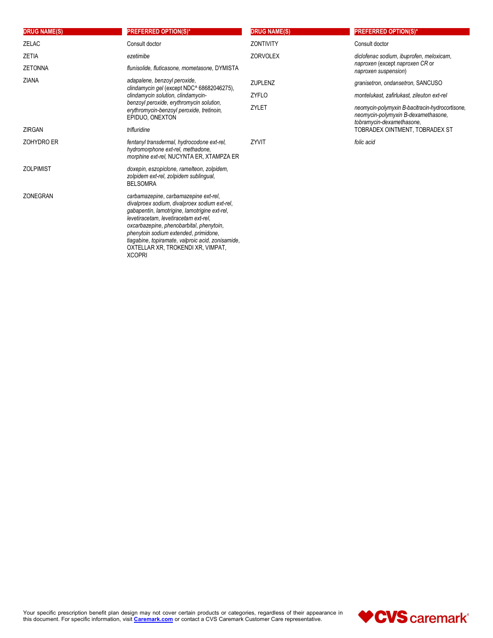| <b>DRUG NAME(S)</b> | <b>PREFERRED OPTION(S)*</b>                                                                                                                                                                                                                                                                                                                                                      | <b>DRUG NAME(S)</b> | <b>PREFERRED OPTION(S)*</b>                                                                                         |
|---------------------|----------------------------------------------------------------------------------------------------------------------------------------------------------------------------------------------------------------------------------------------------------------------------------------------------------------------------------------------------------------------------------|---------------------|---------------------------------------------------------------------------------------------------------------------|
| <b>ZELAC</b>        | Consult doctor                                                                                                                                                                                                                                                                                                                                                                   | <b>ZONTIVITY</b>    | Consult doctor                                                                                                      |
| <b>ZETIA</b>        | ezetimibe                                                                                                                                                                                                                                                                                                                                                                        | <b>ZORVOLEX</b>     | diclofenac sodium, ibuprofen, meloxicam,                                                                            |
| <b>ZETONNA</b>      | flunisolide, fluticasone, mometasone, DYMISTA                                                                                                                                                                                                                                                                                                                                    |                     | naproxen (except naproxen CR or<br>naproxen suspension)                                                             |
| <b>ZIANA</b>        | adapalene, benzoyl peroxide,<br>clindamycin gel (except NDC^ 68682046275),                                                                                                                                                                                                                                                                                                       | <b>ZUPLENZ</b>      | granisetron, ondansetron, SANCUSO                                                                                   |
|                     | clindamycin solution, clindamycin-                                                                                                                                                                                                                                                                                                                                               | <b>ZYFLO</b>        | montelukast, zafirlukast, zileuton ext-rel                                                                          |
|                     | benzoyl peroxide, erythromycin solution,<br>erythromycin-benzoyl peroxide, tretinoin,<br>EPIDUO, ONEXTON                                                                                                                                                                                                                                                                         | ZYLET               | neomycin-polymyxin B-bacitracin-hydrocortisone,<br>neomycin-polymyxin B-dexamethasone,<br>tobramycin-dexamethasone. |
| <b>ZIRGAN</b>       | trifluridine                                                                                                                                                                                                                                                                                                                                                                     |                     | TOBRADEX OINTMENT, TOBRADEX ST                                                                                      |
| <b>ZOHYDRO ER</b>   | fentanyl transdermal, hydrocodone ext-rel,<br>hydromorphone ext-rel, methadone,<br>morphine ext-rel, NUCYNTA ER, XTAMPZA ER                                                                                                                                                                                                                                                      | ZYVIT               | folic acid                                                                                                          |
| <b>ZOLPIMIST</b>    | doxepin, eszopiclone, ramelteon, zolpidem,<br>zolpidem ext-rel, zolpidem sublingual,<br><b>BELSOMRA</b>                                                                                                                                                                                                                                                                          |                     |                                                                                                                     |
| ZONEGRAN            | carbamazepine, carbamazepine ext-rel,<br>divalproex sodium, divalproex sodium ext-rel,<br>gabapentin, lamotrigine, lamotrigine ext-rel,<br>levetiracetam, levetiracetam ext-rel,<br>oxcarbazepine, phenobarbital, phenytoin,<br>phenytoin sodium extended, primidone,<br>tiagabine, topiramate, valproic acid, zonisamide,<br>OXTELLAR XR, TROKENDI XR, VIMPAT,<br><b>XCOPRI</b> |                     |                                                                                                                     |